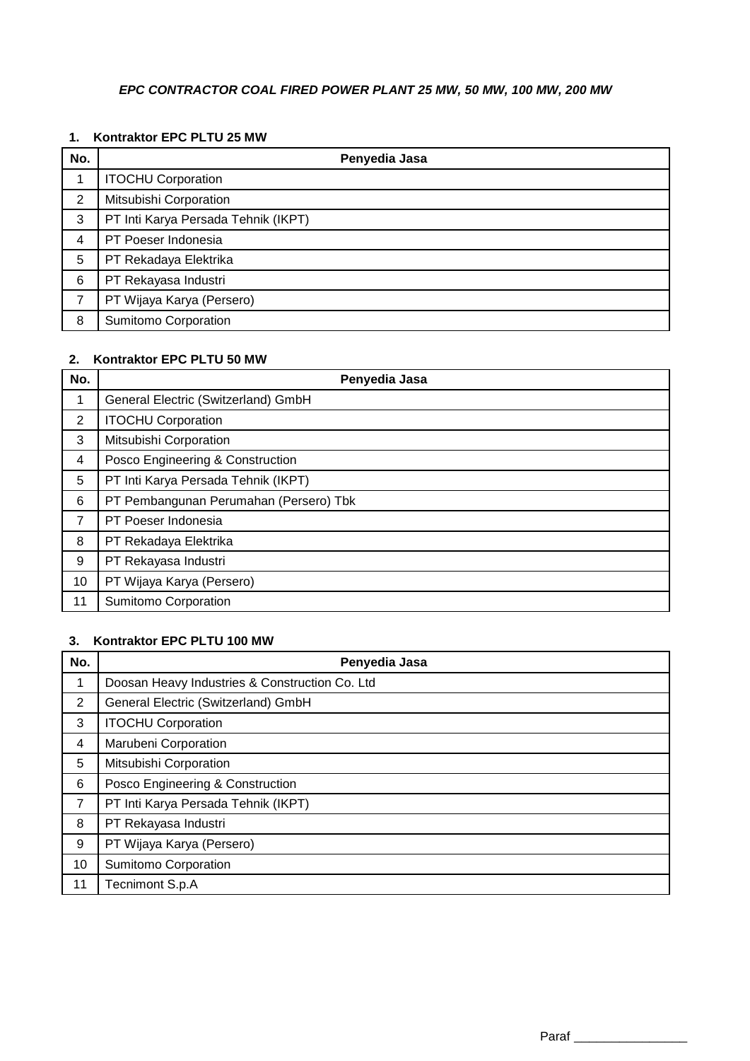# *EPC CONTRACTOR COAL FIRED POWER PLANT 25 MW, 50 MW, 100 MW, 200 MW*

## **1. Kontraktor EPC PLTU 25 MW**

| No. | Penyedia Jasa                       |
|-----|-------------------------------------|
|     | <b>ITOCHU Corporation</b>           |
| 2   | Mitsubishi Corporation              |
| 3   | PT Inti Karya Persada Tehnik (IKPT) |
| 4   | PT Poeser Indonesia                 |
| 5   | PT Rekadaya Elektrika               |
| 6   | PT Rekayasa Industri                |
| 7   | PT Wijaya Karya (Persero)           |
| 8   | Sumitomo Corporation                |

### **2. Kontraktor EPC PLTU 50 MW**

| No. | Penyedia Jasa                          |
|-----|----------------------------------------|
| 1   | General Electric (Switzerland) GmbH    |
| 2   | <b>ITOCHU Corporation</b>              |
| 3   | Mitsubishi Corporation                 |
| 4   | Posco Engineering & Construction       |
| 5   | PT Inti Karya Persada Tehnik (IKPT)    |
| 6   | PT Pembangunan Perumahan (Persero) Tbk |
| 7   | PT Poeser Indonesia                    |
| 8   | PT Rekadaya Elektrika                  |
| 9   | PT Rekayasa Industri                   |
| 10  | PT Wijaya Karya (Persero)              |
| 11  | Sumitomo Corporation                   |

#### **3. Kontraktor EPC PLTU 100 MW**

| No.            | Penyedia Jasa                                  |
|----------------|------------------------------------------------|
| 1              | Doosan Heavy Industries & Construction Co. Ltd |
| $\overline{2}$ | General Electric (Switzerland) GmbH            |
| 3              | <b>ITOCHU Corporation</b>                      |
| 4              | Marubeni Corporation                           |
| 5              | Mitsubishi Corporation                         |
| 6              | Posco Engineering & Construction               |
| $\overline{7}$ | PT Inti Karya Persada Tehnik (IKPT)            |
| 8              | PT Rekayasa Industri                           |
| 9              | PT Wijaya Karya (Persero)                      |
| 10             | Sumitomo Corporation                           |
| 11             | Tecnimont S.p.A                                |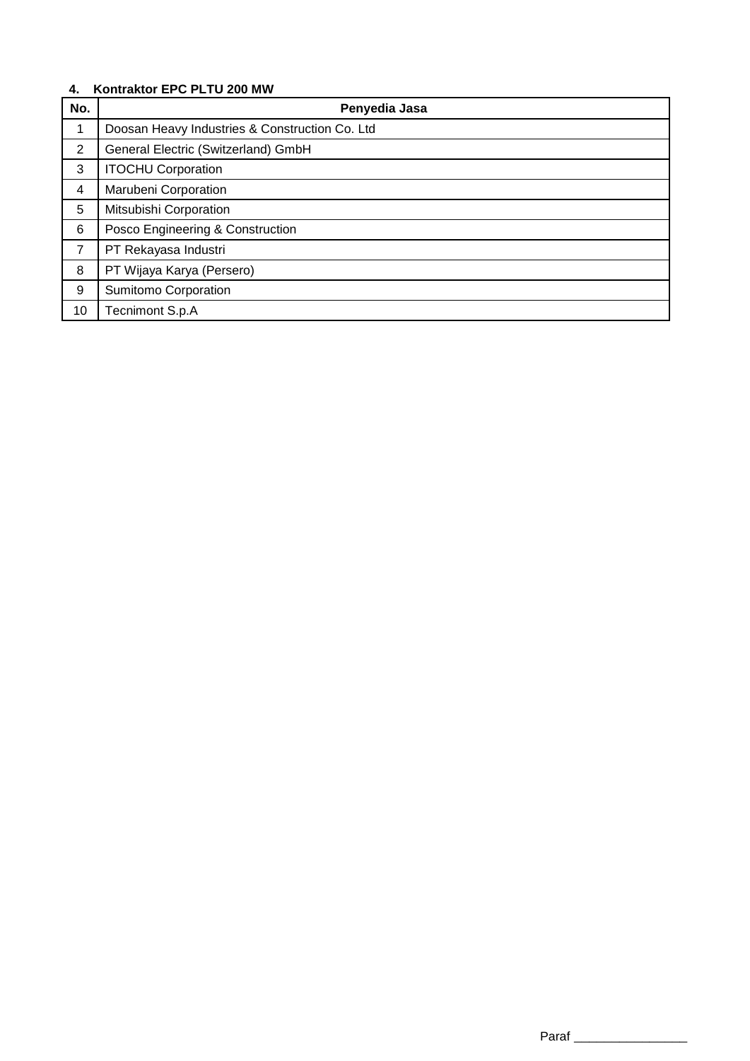## **4. Kontraktor EPC PLTU 200 MW**

| No.            | Penyedia Jasa                                  |
|----------------|------------------------------------------------|
| 1              | Doosan Heavy Industries & Construction Co. Ltd |
| $\overline{2}$ | General Electric (Switzerland) GmbH            |
| 3              | <b>ITOCHU Corporation</b>                      |
| 4              | Marubeni Corporation                           |
| 5              | Mitsubishi Corporation                         |
| 6              | Posco Engineering & Construction               |
| 7              | PT Rekayasa Industri                           |
| 8              | PT Wijaya Karya (Persero)                      |
| 9              | Sumitomo Corporation                           |
| 10             | Tecnimont S.p.A                                |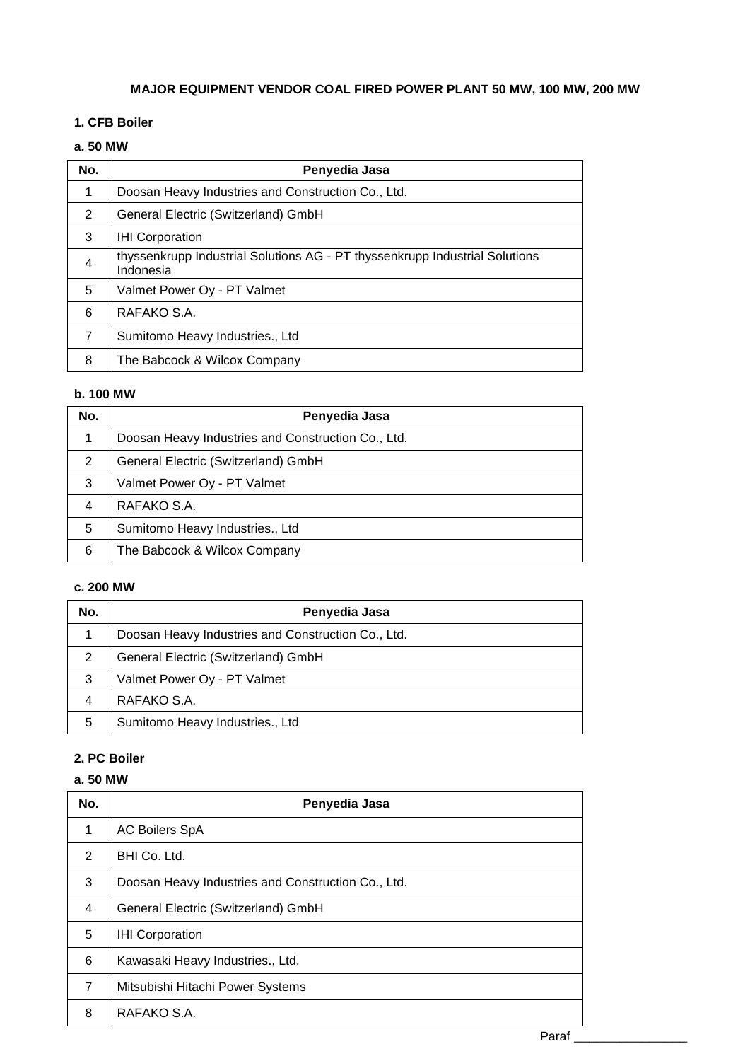# **MAJOR EQUIPMENT VENDOR COAL FIRED POWER PLANT 50 MW, 100 MW, 200 MW**

## **1. CFB Boiler**

# **a. 50 MW**

| No.            | Penyedia Jasa                                                                            |
|----------------|------------------------------------------------------------------------------------------|
|                | Doosan Heavy Industries and Construction Co., Ltd.                                       |
| 2              | General Electric (Switzerland) GmbH                                                      |
| 3              | <b>IHI Corporation</b>                                                                   |
| $\overline{4}$ | thyssenkrupp Industrial Solutions AG - PT thyssenkrupp Industrial Solutions<br>Indonesia |
| 5              | Valmet Power Oy - PT Valmet                                                              |
| 6              | RAFAKO S.A.                                                                              |
| 7              | Sumitomo Heavy Industries., Ltd                                                          |
| 8              | The Babcock & Wilcox Company                                                             |

## **b. 100 MW**

| No. | Penyedia Jasa                                      |
|-----|----------------------------------------------------|
| 1   | Doosan Heavy Industries and Construction Co., Ltd. |
| 2   | General Electric (Switzerland) GmbH                |
| 3   | Valmet Power Oy - PT Valmet                        |
| 4   | RAFAKO S.A.                                        |
| 5   | Sumitomo Heavy Industries., Ltd                    |
| 6   | The Babcock & Wilcox Company                       |

## **c. 200 MW**

| No. | Penyedia Jasa                                      |
|-----|----------------------------------------------------|
|     | Doosan Heavy Industries and Construction Co., Ltd. |
| 2   | General Electric (Switzerland) GmbH                |
| 3   | Valmet Power Oy - PT Valmet                        |
| 4   | RAFAKO S.A.                                        |
| 5   | Sumitomo Heavy Industries., Ltd                    |

# **2. PC Boiler**

# **a. 50 MW**

| No. | Penyedia Jasa                                      |
|-----|----------------------------------------------------|
| 1   | <b>AC Boilers SpA</b>                              |
| 2   | BHI Co. Ltd.                                       |
| 3   | Doosan Heavy Industries and Construction Co., Ltd. |
| 4   | General Electric (Switzerland) GmbH                |
| 5   | <b>IHI Corporation</b>                             |
| 6   | Kawasaki Heavy Industries., Ltd.                   |
| 7   | Mitsubishi Hitachi Power Systems                   |
| 8   | RAFAKO S.A.                                        |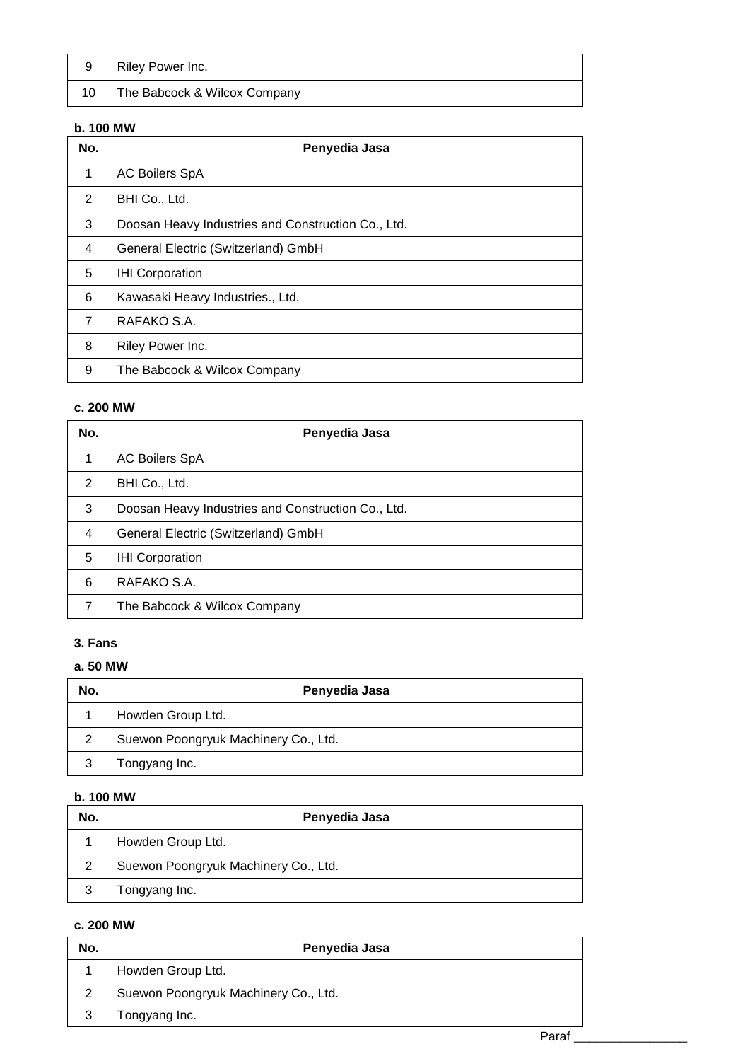| 9  | Riley Power Inc.             |
|----|------------------------------|
| 10 | The Babcock & Wilcox Company |

# **b. 100 MW**

| No.            | Penyedia Jasa                                      |
|----------------|----------------------------------------------------|
| 1              | <b>AC Boilers SpA</b>                              |
| 2              | BHI Co., Ltd.                                      |
| 3              | Doosan Heavy Industries and Construction Co., Ltd. |
| 4              | General Electric (Switzerland) GmbH                |
| 5              | <b>IHI Corporation</b>                             |
| 6              | Kawasaki Heavy Industries., Ltd.                   |
| $\overline{7}$ | RAFAKO S.A.                                        |
| 8              | Riley Power Inc.                                   |
| 9              | The Babcock & Wilcox Company                       |

## **c. 200 MW**

| No.            | Penyedia Jasa                                      |
|----------------|----------------------------------------------------|
| 1              | <b>AC Boilers SpA</b>                              |
| $\mathcal{P}$  | BHI Co., Ltd.                                      |
| 3              | Doosan Heavy Industries and Construction Co., Ltd. |
| $\overline{4}$ | General Electric (Switzerland) GmbH                |
| 5              | <b>IHI Corporation</b>                             |
| 6              | RAFAKO S.A.                                        |
| 7              | The Babcock & Wilcox Company                       |

# **3. Fans**

## **a. 50 MW**

| No. | Penyedia Jasa                        |
|-----|--------------------------------------|
|     | Howden Group Ltd.                    |
| 2   | Suewon Poongryuk Machinery Co., Ltd. |
| 3   | Tongyang Inc.                        |

## **b. 100 MW**

| No.            | Penyedia Jasa                        |
|----------------|--------------------------------------|
|                | Howden Group Ltd.                    |
| $\overline{2}$ | Suewon Poongryuk Machinery Co., Ltd. |
| 3              | Tongyang Inc.                        |

| No. | Penyedia Jasa                        |
|-----|--------------------------------------|
|     | Howden Group Ltd.                    |
|     | Suewon Poongryuk Machinery Co., Ltd. |
|     | Tongyang Inc.                        |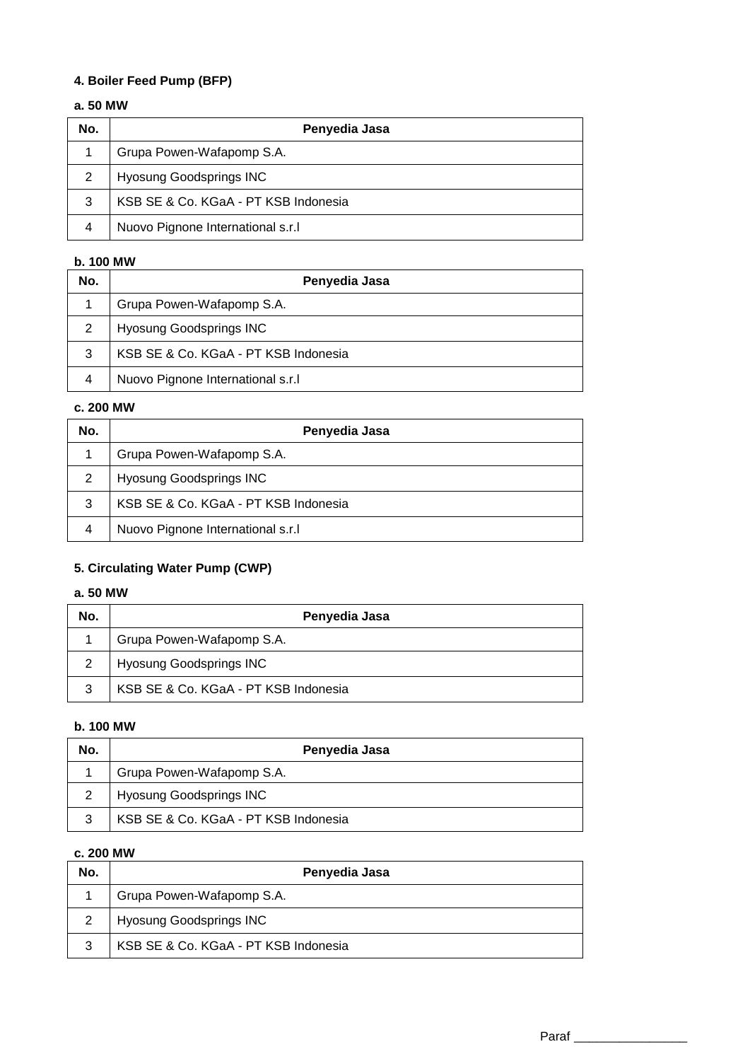# **4. Boiler Feed Pump (BFP)**

## **a. 50 MW**

| No. | Penyedia Jasa                        |
|-----|--------------------------------------|
|     | Grupa Powen-Wafapomp S.A.            |
| 2   | <b>Hyosung Goodsprings INC</b>       |
| 3   | KSB SE & Co. KGaA - PT KSB Indonesia |
| 4   | Nuovo Pignone International s.r.l    |

# **b. 100 MW**

| No.            | Penyedia Jasa                        |
|----------------|--------------------------------------|
|                | Grupa Powen-Wafapomp S.A.            |
| 2              | <b>Hyosung Goodsprings INC</b>       |
| 3              | KSB SE & Co. KGaA - PT KSB Indonesia |
| $\overline{4}$ | Nuovo Pignone International s.r.     |

## **c. 200 MW**

| No. | Penyedia Jasa                        |
|-----|--------------------------------------|
|     | Grupa Powen-Wafapomp S.A.            |
| 2   | <b>Hyosung Goodsprings INC</b>       |
| 3   | KSB SE & Co. KGaA - PT KSB Indonesia |
| 4   | Nuovo Pignone International s.r.l    |

# **5. Circulating Water Pump (CWP)**

## **a. 50 MW**

| No. | Penyedia Jasa                        |
|-----|--------------------------------------|
|     | Grupa Powen-Wafapomp S.A.            |
|     | <b>Hyosung Goodsprings INC</b>       |
|     | KSB SE & Co. KGaA - PT KSB Indonesia |

## **b. 100 MW**

| No. | Penyedia Jasa                        |
|-----|--------------------------------------|
|     | Grupa Powen-Wafapomp S.A.            |
|     | <b>Hyosung Goodsprings INC</b>       |
| 3   | KSB SE & Co. KGaA - PT KSB Indonesia |

| No. | Penyedia Jasa                        |
|-----|--------------------------------------|
|     | Grupa Powen-Wafapomp S.A.            |
| 2   | <b>Hyosung Goodsprings INC</b>       |
| 3   | KSB SE & Co. KGaA - PT KSB Indonesia |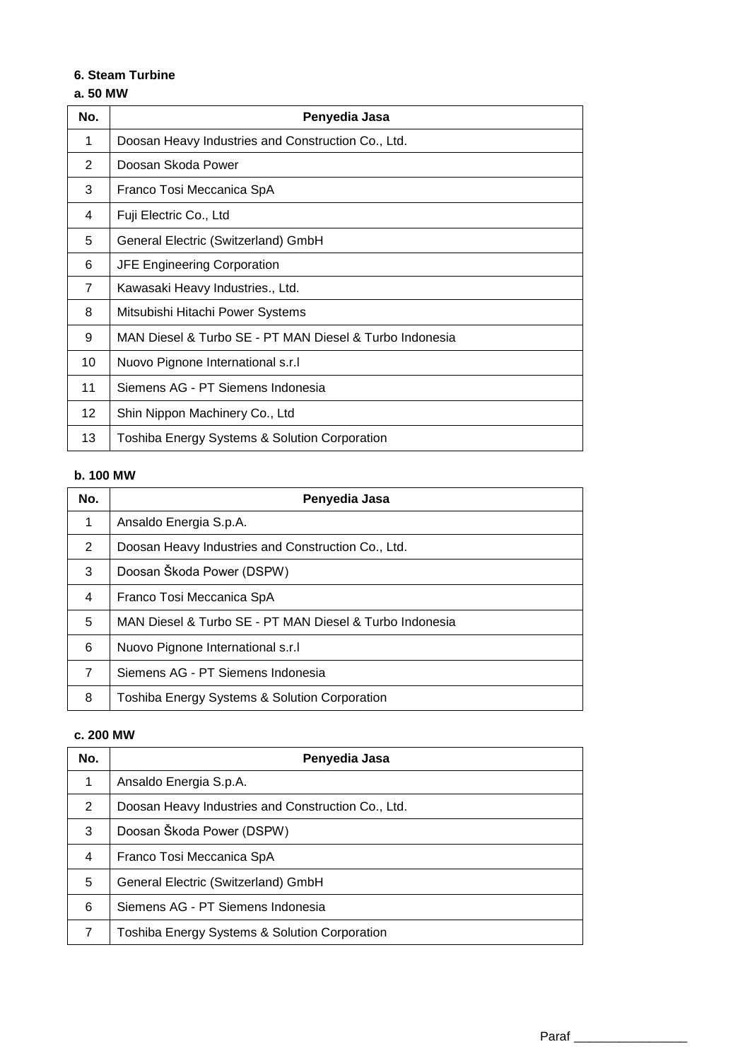## **6. Steam Turbine**

# **a. 50 MW**

| No.             | Penyedia Jasa                                           |
|-----------------|---------------------------------------------------------|
| 1               | Doosan Heavy Industries and Construction Co., Ltd.      |
| 2               | Doosan Skoda Power                                      |
| 3               | Franco Tosi Meccanica SpA                               |
| 4               | Fuji Electric Co., Ltd                                  |
| 5               | General Electric (Switzerland) GmbH                     |
| 6               | <b>JFE Engineering Corporation</b>                      |
| $\overline{7}$  | Kawasaki Heavy Industries., Ltd.                        |
| 8               | Mitsubishi Hitachi Power Systems                        |
| 9               | MAN Diesel & Turbo SE - PT MAN Diesel & Turbo Indonesia |
| 10              | Nuovo Pignone International s.r.l                       |
| 11              | Siemens AG - PT Siemens Indonesia                       |
| 12 <sup>°</sup> | Shin Nippon Machinery Co., Ltd                          |
| 13              | Toshiba Energy Systems & Solution Corporation           |

#### **b. 100 MW**

| No.           | Penyedia Jasa                                           |
|---------------|---------------------------------------------------------|
| 1             | Ansaldo Energia S.p.A.                                  |
| $\mathcal{P}$ | Doosan Heavy Industries and Construction Co., Ltd.      |
| 3             | Doosan Škoda Power (DSPW)                               |
| 4             | Franco Tosi Meccanica SpA                               |
| 5             | MAN Diesel & Turbo SE - PT MAN Diesel & Turbo Indonesia |
| 6             | Nuovo Pignone International s.r.l                       |
| 7             | Siemens AG - PT Siemens Indonesia                       |
| 8             | Toshiba Energy Systems & Solution Corporation           |

| No. | Penyedia Jasa                                      |
|-----|----------------------------------------------------|
| 1   | Ansaldo Energia S.p.A.                             |
| 2   | Doosan Heavy Industries and Construction Co., Ltd. |
| 3   | Doosan Škoda Power (DSPW)                          |
| 4   | Franco Tosi Meccanica SpA                          |
| 5   | General Electric (Switzerland) GmbH                |
| 6   | Siemens AG - PT Siemens Indonesia                  |
| 7   | Toshiba Energy Systems & Solution Corporation      |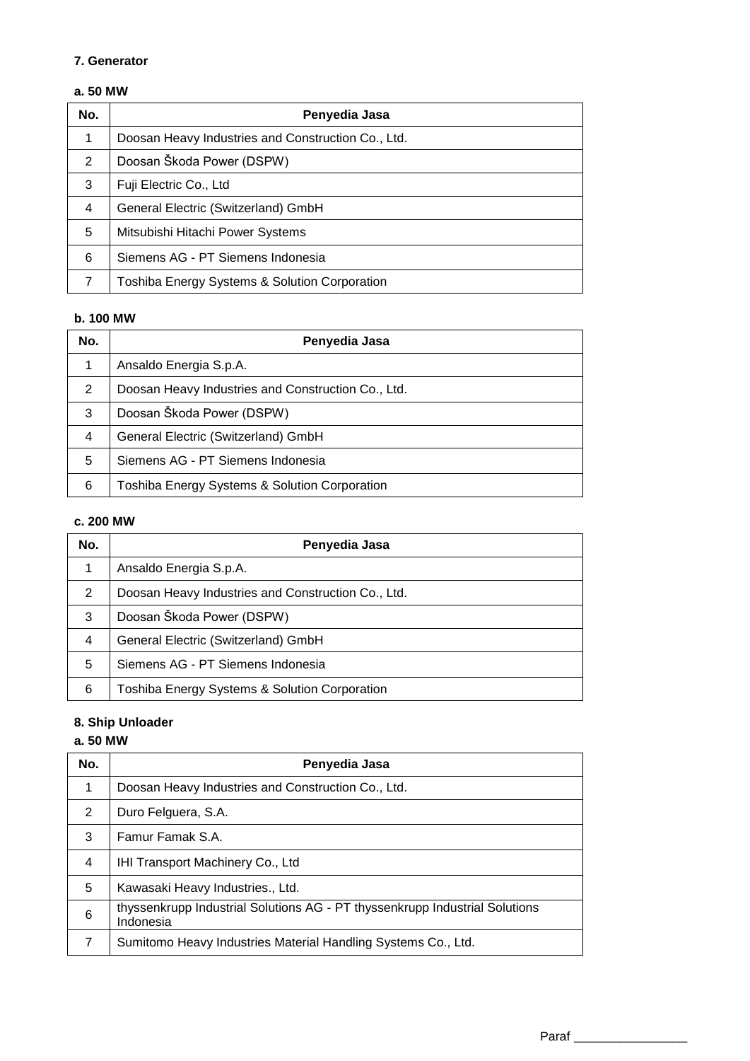### **7. Generator**

# **a. 50 MW**

| No. | Penyedia Jasa                                      |
|-----|----------------------------------------------------|
| 1   | Doosan Heavy Industries and Construction Co., Ltd. |
| 2   | Doosan Škoda Power (DSPW)                          |
| 3   | Fuji Electric Co., Ltd                             |
| 4   | General Electric (Switzerland) GmbH                |
| 5   | Mitsubishi Hitachi Power Systems                   |
| 6   | Siemens AG - PT Siemens Indonesia                  |
| 7   | Toshiba Energy Systems & Solution Corporation      |

## **b. 100 MW**

| No.            | Penyedia Jasa                                      |
|----------------|----------------------------------------------------|
| 1              | Ansaldo Energia S.p.A.                             |
| 2              | Doosan Heavy Industries and Construction Co., Ltd. |
| 3              | Doosan Škoda Power (DSPW)                          |
| $\overline{4}$ | General Electric (Switzerland) GmbH                |
| 5              | Siemens AG - PT Siemens Indonesia                  |
| 6              | Toshiba Energy Systems & Solution Corporation      |

# **c. 200 MW**

| No.            | Penyedia Jasa                                            |
|----------------|----------------------------------------------------------|
| 1              | Ansaldo Energia S.p.A.                                   |
| 2              | Doosan Heavy Industries and Construction Co., Ltd.       |
| 3              | Doosan Škoda Power (DSPW)                                |
| $\overline{4}$ | General Electric (Switzerland) GmbH                      |
| 5              | Siemens AG - PT Siemens Indonesia                        |
| 6              | <b>Toshiba Energy Systems &amp; Solution Corporation</b> |

# **8. Ship Unloader**

# **a. 50 MW**

| No.            | Penyedia Jasa                                                                            |
|----------------|------------------------------------------------------------------------------------------|
| 1              | Doosan Heavy Industries and Construction Co., Ltd.                                       |
| $\mathcal{P}$  | Duro Felguera, S.A.                                                                      |
| 3              | Famur Famak S.A.                                                                         |
| $\overline{4}$ | <b>IHI Transport Machinery Co., Ltd</b>                                                  |
| 5              | Kawasaki Heavy Industries., Ltd.                                                         |
| 6              | thyssenkrupp Industrial Solutions AG - PT thyssenkrupp Industrial Solutions<br>Indonesia |
| 7              | Sumitomo Heavy Industries Material Handling Systems Co., Ltd.                            |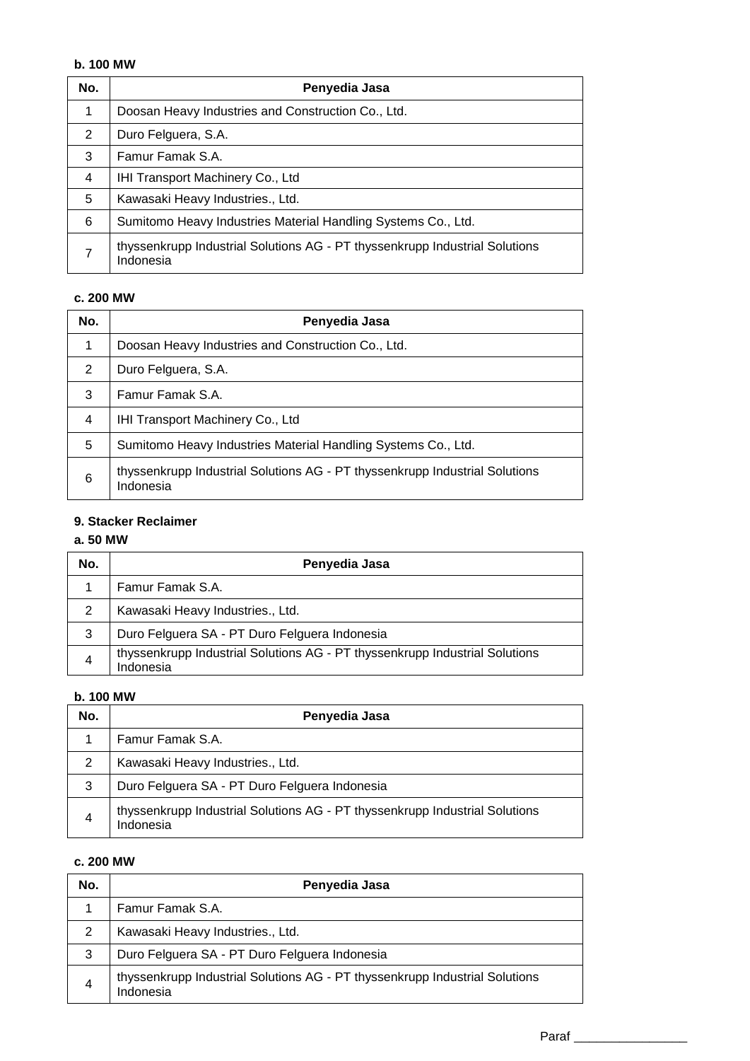# **b. 100 MW**

| No. | Penyedia Jasa                                                                            |
|-----|------------------------------------------------------------------------------------------|
| 1   | Doosan Heavy Industries and Construction Co., Ltd.                                       |
| 2   | Duro Felguera, S.A.                                                                      |
| 3   | Famur Famak S.A.                                                                         |
| 4   | IHI Transport Machinery Co., Ltd                                                         |
| 5   | Kawasaki Heavy Industries., Ltd.                                                         |
| 6   | Sumitomo Heavy Industries Material Handling Systems Co., Ltd.                            |
| 7   | thyssenkrupp Industrial Solutions AG - PT thyssenkrupp Industrial Solutions<br>Indonesia |

# **c. 200 MW**

| No. | Penyedia Jasa                                                                            |
|-----|------------------------------------------------------------------------------------------|
| 1   | Doosan Heavy Industries and Construction Co., Ltd.                                       |
| 2   | Duro Felguera, S.A.                                                                      |
| 3   | Famur Famak S.A.                                                                         |
| 4   | IHI Transport Machinery Co., Ltd                                                         |
| 5   | Sumitomo Heavy Industries Material Handling Systems Co., Ltd.                            |
| 6   | thyssenkrupp Industrial Solutions AG - PT thyssenkrupp Industrial Solutions<br>Indonesia |

## **9. Stacker Reclaimer**

# **a. 50 MW**

| No. | Penyedia Jasa                                                                            |
|-----|------------------------------------------------------------------------------------------|
|     | Famur Famak S.A.                                                                         |
| 2   | Kawasaki Heavy Industries., Ltd.                                                         |
| 3   | Duro Felguera SA - PT Duro Felguera Indonesia                                            |
| 4   | thyssenkrupp Industrial Solutions AG - PT thyssenkrupp Industrial Solutions<br>Indonesia |

# **b. 100 MW**

| No. | Penyedia Jasa                                                                            |
|-----|------------------------------------------------------------------------------------------|
|     | Famur Famak S.A.                                                                         |
| 2   | Kawasaki Heavy Industries., Ltd.                                                         |
| 3   | Duro Felguera SA - PT Duro Felguera Indonesia                                            |
| 4   | thyssenkrupp Industrial Solutions AG - PT thyssenkrupp Industrial Solutions<br>Indonesia |

| No. | Penyedia Jasa                                                                            |
|-----|------------------------------------------------------------------------------------------|
|     | Famur Famak S.A.                                                                         |
| 2   | Kawasaki Heavy Industries., Ltd.                                                         |
| 3   | Duro Felguera SA - PT Duro Felguera Indonesia                                            |
| 4   | thyssenkrupp Industrial Solutions AG - PT thyssenkrupp Industrial Solutions<br>Indonesia |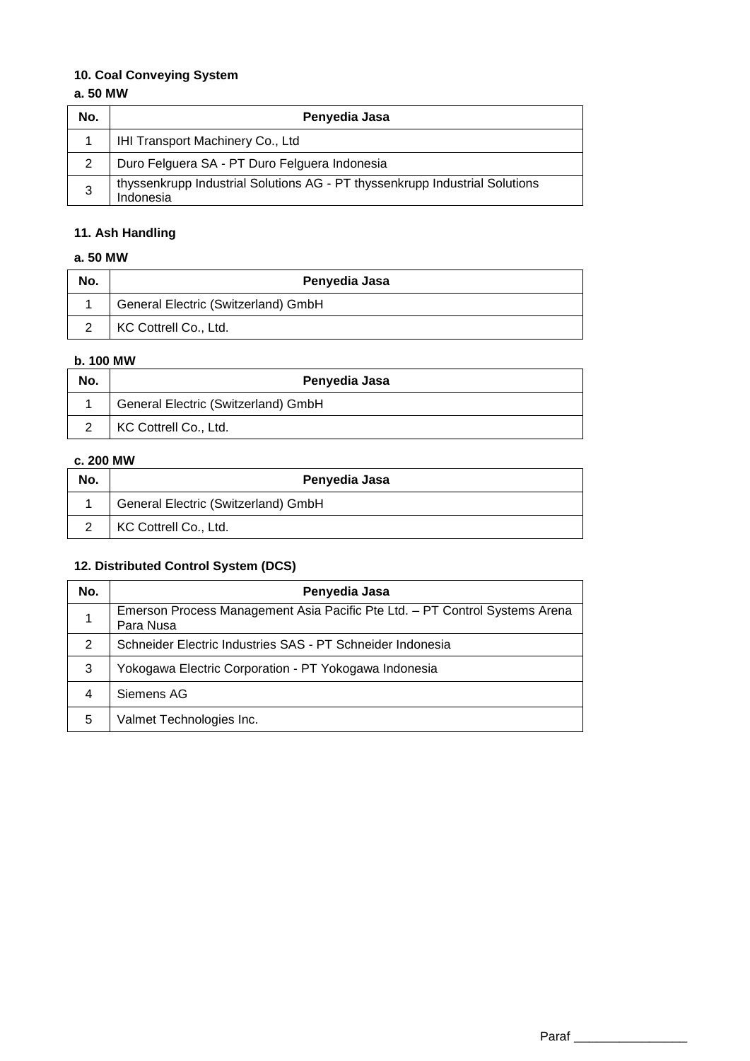# **10. Coal Conveying System**

## **a. 50 MW**

| No. | Penyedia Jasa                                                                            |
|-----|------------------------------------------------------------------------------------------|
|     | IHI Transport Machinery Co., Ltd                                                         |
| 2   | Duro Felguera SA - PT Duro Felguera Indonesia                                            |
| 3   | thyssenkrupp Industrial Solutions AG - PT thyssenkrupp Industrial Solutions<br>Indonesia |

# **11. Ash Handling**

# **a. 50 MW**

| No. | Penyedia Jasa                       |
|-----|-------------------------------------|
|     | General Electric (Switzerland) GmbH |
|     | KC Cottrell Co., Ltd.               |

# **b. 100 MW**

| No. | Penyedia Jasa                       |
|-----|-------------------------------------|
|     | General Electric (Switzerland) GmbH |
|     | KC Cottrell Co., Ltd.               |

# **c. 200 MW**

| No. | Penyedia Jasa                       |
|-----|-------------------------------------|
|     | General Electric (Switzerland) GmbH |
|     | KC Cottrell Co., Ltd.               |

# **12. Distributed Control System (DCS)**

| No. | Penyedia Jasa                                                                            |
|-----|------------------------------------------------------------------------------------------|
|     | Emerson Process Management Asia Pacific Pte Ltd. - PT Control Systems Arena<br>Para Nusa |
| 2   | Schneider Electric Industries SAS - PT Schneider Indonesia                               |
| 3   | Yokogawa Electric Corporation - PT Yokogawa Indonesia                                    |
| 4   | Siemens AG                                                                               |
| 5   | Valmet Technologies Inc.                                                                 |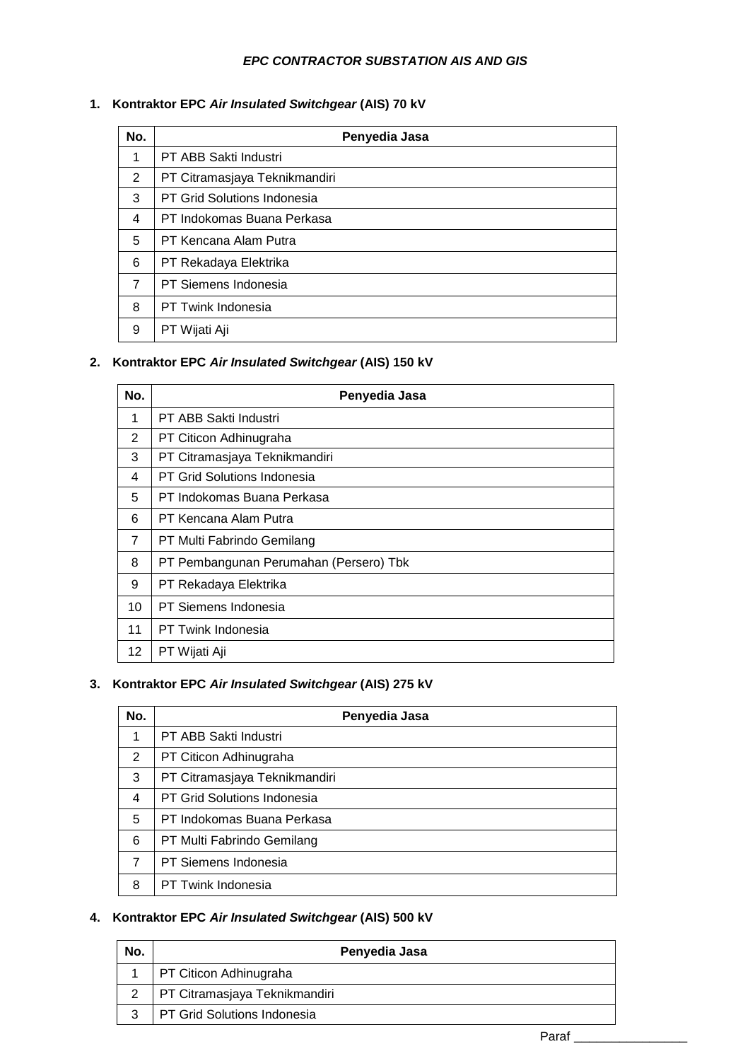### *EPC CONTRACTOR SUBSTATION AIS AND GIS*

# **1. Kontraktor EPC** *Air Insulated Switchgear* **(AIS) 70 kV**

| No.            | Penyedia Jasa                 |
|----------------|-------------------------------|
| 1              | PT ABB Sakti Industri         |
| 2              | PT Citramasjaya Teknikmandiri |
| 3              | PT Grid Solutions Indonesia   |
| 4              | PT Indokomas Buana Perkasa    |
| 5              | PT Kencana Alam Putra         |
| 6              | PT Rekadaya Elektrika         |
| $\overline{7}$ | PT Siemens Indonesia          |
| 8              | PT Twink Indonesia            |
| 9              | PT Wijati Aji                 |

# **2. Kontraktor EPC** *Air Insulated Switchgear* **(AIS) 150 kV**

| No.            | Penyedia Jasa                          |
|----------------|----------------------------------------|
| 1              | PT ABB Sakti Industri                  |
| 2              | PT Citicon Adhinugraha                 |
| 3              | PT Citramasjaya Teknikmandiri          |
| 4              | PT Grid Solutions Indonesia            |
| 5              | PT Indokomas Buana Perkasa             |
| 6              | PT Kencana Alam Putra                  |
| $\overline{7}$ | PT Multi Fabrindo Gemilang             |
| 8              | PT Pembangunan Perumahan (Persero) Tbk |
| 9              | PT Rekadaya Elektrika                  |
| 10             | PT Siemens Indonesia                   |
| 11             | PT Twink Indonesia                     |
| 12             | PT Wijati Aji                          |

## **3. Kontraktor EPC** *Air Insulated Switchgear* **(AIS) 275 kV**

| No. | Penyedia Jasa                      |
|-----|------------------------------------|
| 1   | PT ABB Sakti Industri              |
| 2   | PT Citicon Adhinugraha             |
| 3   | PT Citramasjaya Teknikmandiri      |
| 4   | <b>PT Grid Solutions Indonesia</b> |
| 5   | PT Indokomas Buana Perkasa         |
| 6   | PT Multi Fabrindo Gemilang         |
| 7   | PT Siemens Indonesia               |
| 8   | PT Twink Indonesia                 |

# **4. Kontraktor EPC** *Air Insulated Switchgear* **(AIS) 500 kV**

| No. | Penyedia Jasa                        |
|-----|--------------------------------------|
|     | PT Citicon Adhinugraha               |
|     | <b>PT Citramasjaya Teknikmandiri</b> |
|     | PT Grid Solutions Indonesia          |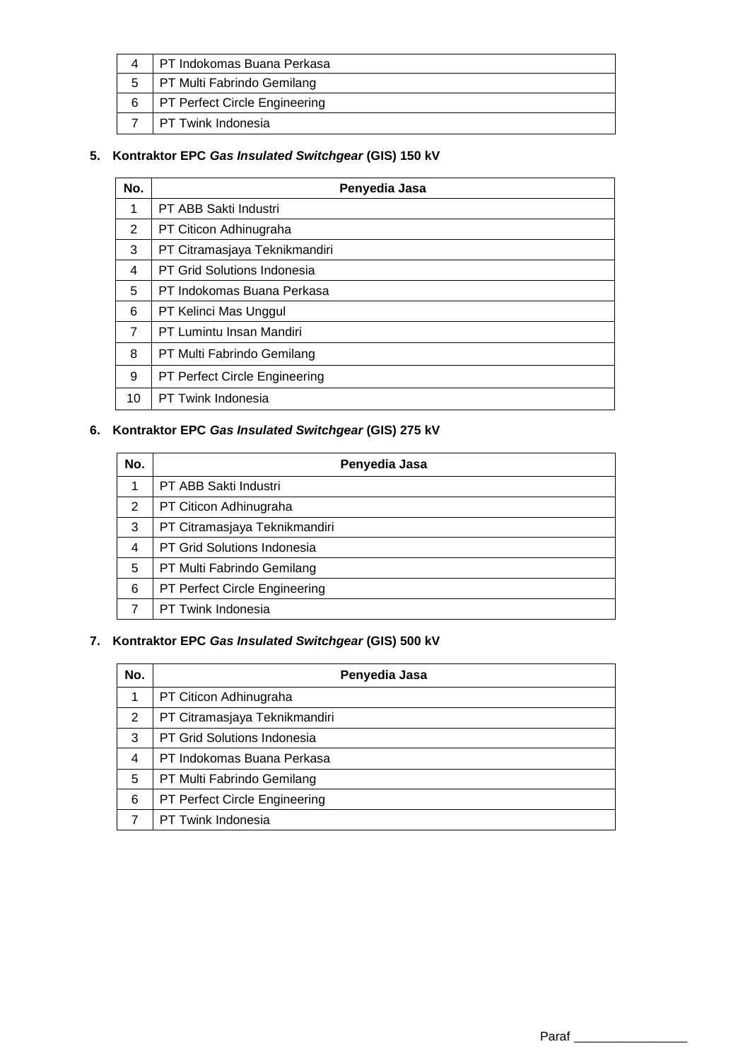|   | I PT Indokomas Buana Perkasa         |
|---|--------------------------------------|
|   | PT Multi Fabrindo Gemilang           |
| 6 | <b>PT Perfect Circle Engineering</b> |
|   | I PT Twink Indonesia                 |

# **5. Kontraktor EPC** *Gas Insulated Switchgear* **(GIS) 150 kV**

| No.            | Penyedia Jasa                 |
|----------------|-------------------------------|
| 1              | PT ABB Sakti Industri         |
| 2              | PT Citicon Adhinugraha        |
| 3              | PT Citramasjaya Teknikmandiri |
| 4              | PT Grid Solutions Indonesia   |
| 5              | PT Indokomas Buana Perkasa    |
| 6              | PT Kelinci Mas Unggul         |
| $\overline{7}$ | PT Lumintu Insan Mandiri      |
| 8              | PT Multi Fabrindo Gemilang    |
| 9              | PT Perfect Circle Engineering |
| 10             | PT Twink Indonesia            |

# **6. Kontraktor EPC** *Gas Insulated Switchgear* **(GIS) 275 kV**

| No. | Penyedia Jasa                 |
|-----|-------------------------------|
| 1   | PT ABB Sakti Industri         |
| 2   | PT Citicon Adhinugraha        |
| 3   | PT Citramasjaya Teknikmandiri |
| 4   | PT Grid Solutions Indonesia   |
| 5   | PT Multi Fabrindo Gemilang    |
| 6   | PT Perfect Circle Engineering |
| 7   | PT Twink Indonesia            |

# **7. Kontraktor EPC** *Gas Insulated Switchgear* **(GIS) 500 kV**

| No. | Penyedia Jasa                      |
|-----|------------------------------------|
|     | PT Citicon Adhinugraha             |
| 2   | PT Citramasjaya Teknikmandiri      |
| 3   | <b>PT Grid Solutions Indonesia</b> |
| 4   | PT Indokomas Buana Perkasa         |
| 5   | PT Multi Fabrindo Gemilang         |
| 6   | PT Perfect Circle Engineering      |
|     | PT Twink Indonesia                 |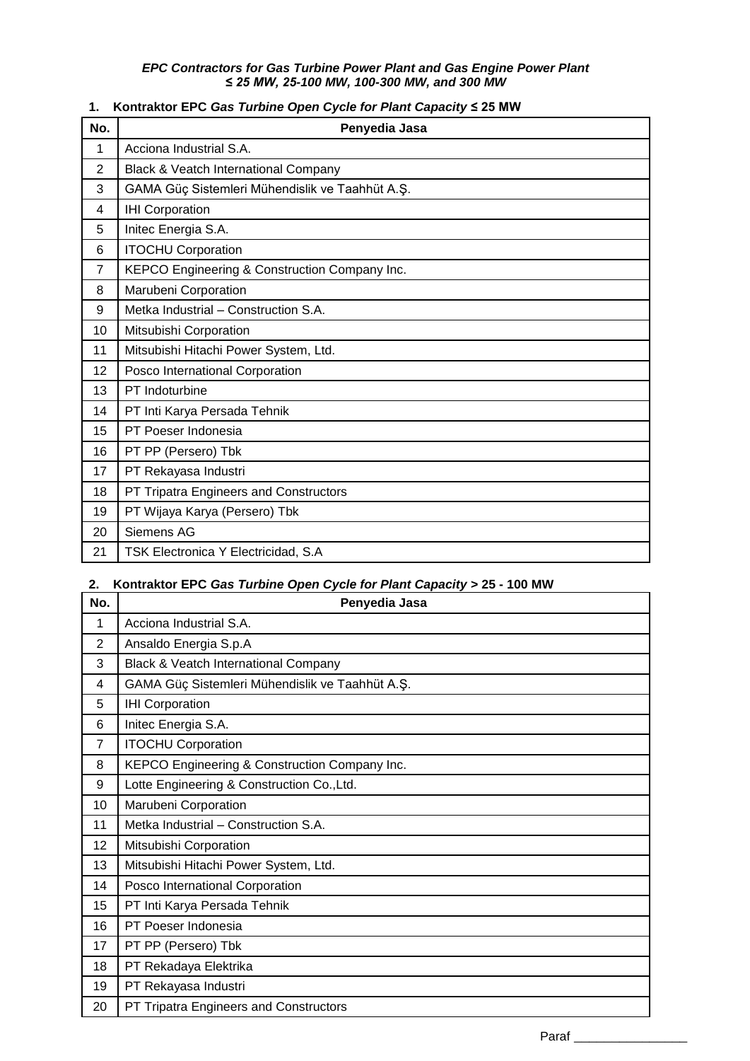#### *EPC Contractors for Gas Turbine Power Plant and Gas Engine Power Plant ≤ 25 MW, 25-100 MW, 100-300 MW, and 300 MW*

### **1. Kontraktor EPC** *Gas Turbine Open Cycle for Plant Capacity* **≤ 25 MW**

| No.            | Penyedia Jasa                                   |
|----------------|-------------------------------------------------|
| 1              | Acciona Industrial S.A.                         |
| $\overline{2}$ | Black & Veatch International Company            |
| 3              | GAMA Güç Sistemleri Mühendislik ve Taahhüt A.Ş. |
| 4              | <b>IHI Corporation</b>                          |
| 5              | Initec Energia S.A.                             |
| 6              | <b>ITOCHU Corporation</b>                       |
| $\overline{7}$ | KEPCO Engineering & Construction Company Inc.   |
| 8              | Marubeni Corporation                            |
| 9              | Metka Industrial - Construction S.A.            |
| 10             | Mitsubishi Corporation                          |
| 11             | Mitsubishi Hitachi Power System, Ltd.           |
| 12             | Posco International Corporation                 |
| 13             | PT Indoturbine                                  |
| 14             | PT Inti Karya Persada Tehnik                    |
| 15             | PT Poeser Indonesia                             |
| 16             | PT PP (Persero) Tbk                             |
| 17             | PT Rekayasa Industri                            |
| 18             | PT Tripatra Engineers and Constructors          |
| 19             | PT Wijaya Karya (Persero) Tbk                   |
| 20             | Siemens AG                                      |
| 21             | TSK Electronica Y Electricidad, S.A             |

## **2. Kontraktor EPC** *Gas Turbine Open Cycle for Plant Capacity* **> 25 - 100 MW**

| No.            | Penyedia Jasa                                   |
|----------------|-------------------------------------------------|
| 1              | Acciona Industrial S.A.                         |
| $\overline{2}$ | Ansaldo Energia S.p.A                           |
| 3              | Black & Veatch International Company            |
| 4              | GAMA Güç Sistemleri Mühendislik ve Taahhüt A.Ş. |
| 5              | <b>IHI Corporation</b>                          |
| 6              | Initec Energia S.A.                             |
| $\overline{7}$ | <b>ITOCHU Corporation</b>                       |
| 8              | KEPCO Engineering & Construction Company Inc.   |
| 9              | Lotte Engineering & Construction Co., Ltd.      |
| 10             | Marubeni Corporation                            |
| 11             | Metka Industrial - Construction S.A.            |
| 12             | Mitsubishi Corporation                          |
| 13             | Mitsubishi Hitachi Power System, Ltd.           |
| 14             | Posco International Corporation                 |
| 15             | PT Inti Karya Persada Tehnik                    |
| 16             | PT Poeser Indonesia                             |
| 17             | PT PP (Persero) Tbk                             |
| 18             | PT Rekadaya Elektrika                           |
| 19             | PT Rekayasa Industri                            |
| 20             | PT Tripatra Engineers and Constructors          |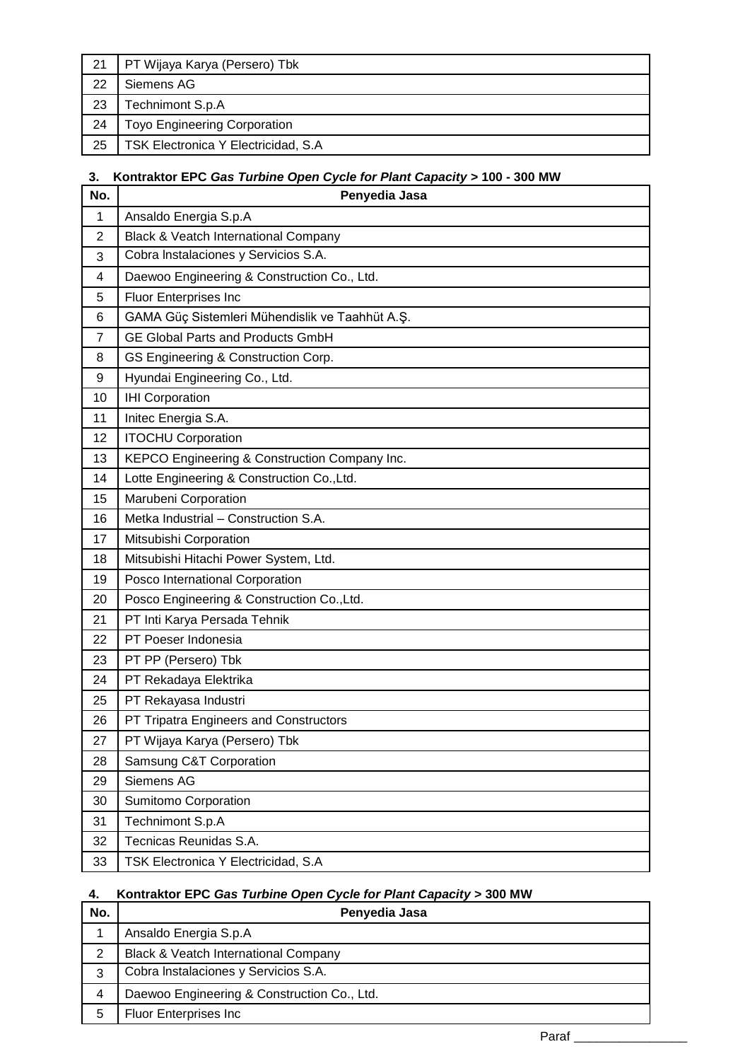| -21 | PT Wijaya Karya (Persero) Tbk       |
|-----|-------------------------------------|
| 22  | Siemens AG                          |
| 23  | Technimont S.p.A                    |
| 24  | <b>Toyo Engineering Corporation</b> |
| 25  | TSK Electronica Y Electricidad, S.A |

# **3. Kontraktor EPC** *Gas Turbine Open Cycle for Plant Capacity* **> 100 - 300 MW**

| No.            | Penyedia Jasa                                   |
|----------------|-------------------------------------------------|
| 1              | Ansaldo Energia S.p.A                           |
| $\overline{2}$ | Black & Veatch International Company            |
| 3              | Cobra Instalaciones y Servicios S.A.            |
| 4              | Daewoo Engineering & Construction Co., Ltd.     |
| 5              | <b>Fluor Enterprises Inc</b>                    |
| 6              | GAMA Güç Sistemleri Mühendislik ve Taahhüt A.Ş. |
| $\overline{7}$ | <b>GE Global Parts and Products GmbH</b>        |
| 8              | GS Engineering & Construction Corp.             |
| 9              | Hyundai Engineering Co., Ltd.                   |
| 10             | <b>IHI Corporation</b>                          |
| 11             | Initec Energia S.A.                             |
| 12             | <b>ITOCHU Corporation</b>                       |
| 13             | KEPCO Engineering & Construction Company Inc.   |
| 14             | Lotte Engineering & Construction Co., Ltd.      |
| 15             | Marubeni Corporation                            |
| 16             | Metka Industrial - Construction S.A.            |
| 17             | Mitsubishi Corporation                          |
| 18             | Mitsubishi Hitachi Power System, Ltd.           |
| 19             | Posco International Corporation                 |
| 20             | Posco Engineering & Construction Co., Ltd.      |
| 21             | PT Inti Karya Persada Tehnik                    |
| 22             | PT Poeser Indonesia                             |
| 23             | PT PP (Persero) Tbk                             |
| 24             | PT Rekadaya Elektrika                           |
| 25             | PT Rekayasa Industri                            |
| 26             | PT Tripatra Engineers and Constructors          |
| 27             | PT Wijaya Karya (Persero) Tbk                   |
| 28             | Samsung C&T Corporation                         |
| 29             | Siemens AG                                      |
| 30             | Sumitomo Corporation                            |
| 31             | Technimont S.p.A                                |
| 32             | Tecnicas Reunidas S.A.                          |
| 33             | TSK Electronica Y Electricidad, S.A             |

# **4. Kontraktor EPC** *Gas Turbine Open Cycle for Plant Capacity* **> 300 MW**

| No. | Penyedia Jasa                                   |
|-----|-------------------------------------------------|
|     | Ansaldo Energia S.p.A                           |
| 2   | <b>Black &amp; Veatch International Company</b> |
| 3   | Cobra Instalaciones y Servicios S.A.            |
| 4   | Daewoo Engineering & Construction Co., Ltd.     |
| 5   | <b>Fluor Enterprises Inc.</b>                   |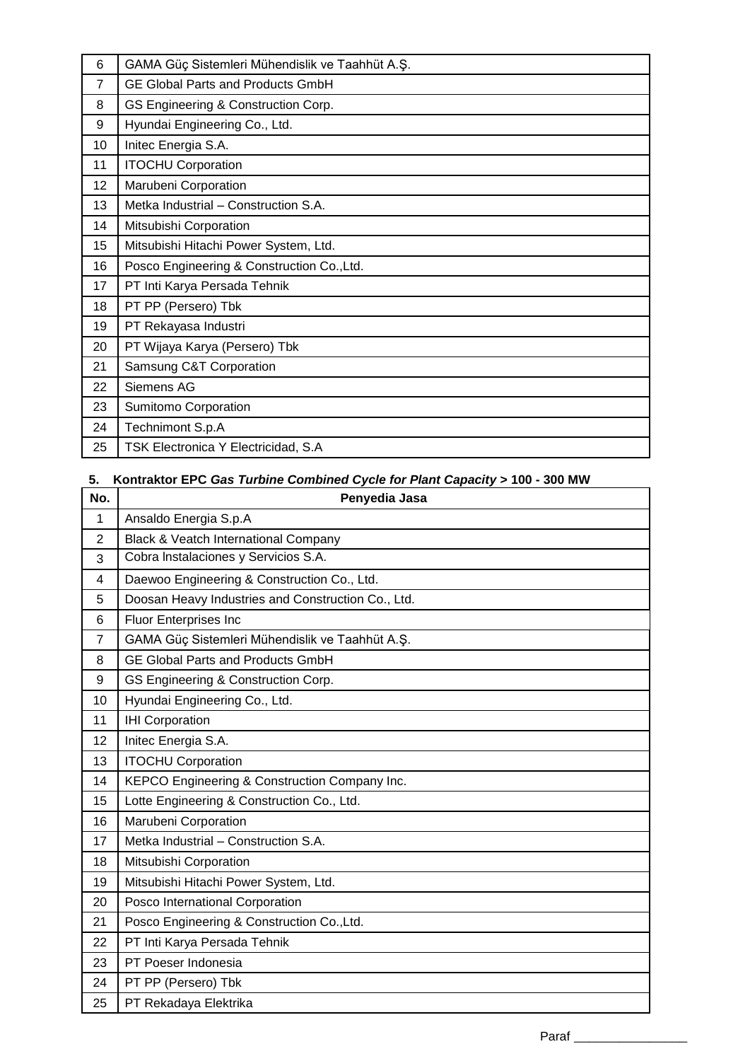| 6              | GAMA Güç Sistemleri Mühendislik ve Taahhüt A.Ş. |
|----------------|-------------------------------------------------|
| $\overline{7}$ | <b>GE Global Parts and Products GmbH</b>        |
| 8              | GS Engineering & Construction Corp.             |
| 9              | Hyundai Engineering Co., Ltd.                   |
| 10             | Initec Energia S.A.                             |
| 11             | <b>ITOCHU Corporation</b>                       |
| 12             | Marubeni Corporation                            |
| 13             | Metka Industrial - Construction S.A.            |
| 14             | Mitsubishi Corporation                          |
| 15             | Mitsubishi Hitachi Power System, Ltd.           |
| 16             | Posco Engineering & Construction Co., Ltd.      |
| 17             | PT Inti Karya Persada Tehnik                    |
| 18             | PT PP (Persero) Tbk                             |
| 19             | PT Rekayasa Industri                            |
| 20             | PT Wijaya Karya (Persero) Tbk                   |
| 21             | Samsung C&T Corporation                         |
| 22             | Siemens AG                                      |
| 23             | Sumitomo Corporation                            |
| 24             | Technimont S.p.A                                |
| 25             | TSK Electronica Y Electricidad, S.A             |

# **5. Kontraktor EPC** *Gas Turbine Combined Cycle for Plant Capacity* **> 100 - 300 MW**

| No.            | $\frac{1}{2}$<br>$\sim$ $\sim$ $\sim$<br>Penyedia Jasa |
|----------------|--------------------------------------------------------|
| 1              | Ansaldo Energia S.p.A                                  |
| $\overline{2}$ | Black & Veatch International Company                   |
| 3              | Cobra Instalaciones y Servicios S.A.                   |
| 4              | Daewoo Engineering & Construction Co., Ltd.            |
| 5              | Doosan Heavy Industries and Construction Co., Ltd.     |
| 6              | Fluor Enterprises Inc                                  |
| $\overline{7}$ | GAMA Güç Sistemleri Mühendislik ve Taahhüt A.Ş.        |
| 8              | <b>GE Global Parts and Products GmbH</b>               |
| 9              | GS Engineering & Construction Corp.                    |
| 10             | Hyundai Engineering Co., Ltd.                          |
| 11             | <b>IHI Corporation</b>                                 |
| 12             | Initec Energia S.A.                                    |
| 13             | <b>ITOCHU Corporation</b>                              |
| 14             | KEPCO Engineering & Construction Company Inc.          |
| 15             | Lotte Engineering & Construction Co., Ltd.             |
| 16             | Marubeni Corporation                                   |
| 17             | Metka Industrial - Construction S.A.                   |
| 18             | Mitsubishi Corporation                                 |
| 19             | Mitsubishi Hitachi Power System, Ltd.                  |
| 20             | Posco International Corporation                        |
| 21             | Posco Engineering & Construction Co., Ltd.             |
| 22             | PT Inti Karya Persada Tehnik                           |
| 23             | PT Poeser Indonesia                                    |
| 24             | PT PP (Persero) Tbk                                    |
| 25             | PT Rekadaya Elektrika                                  |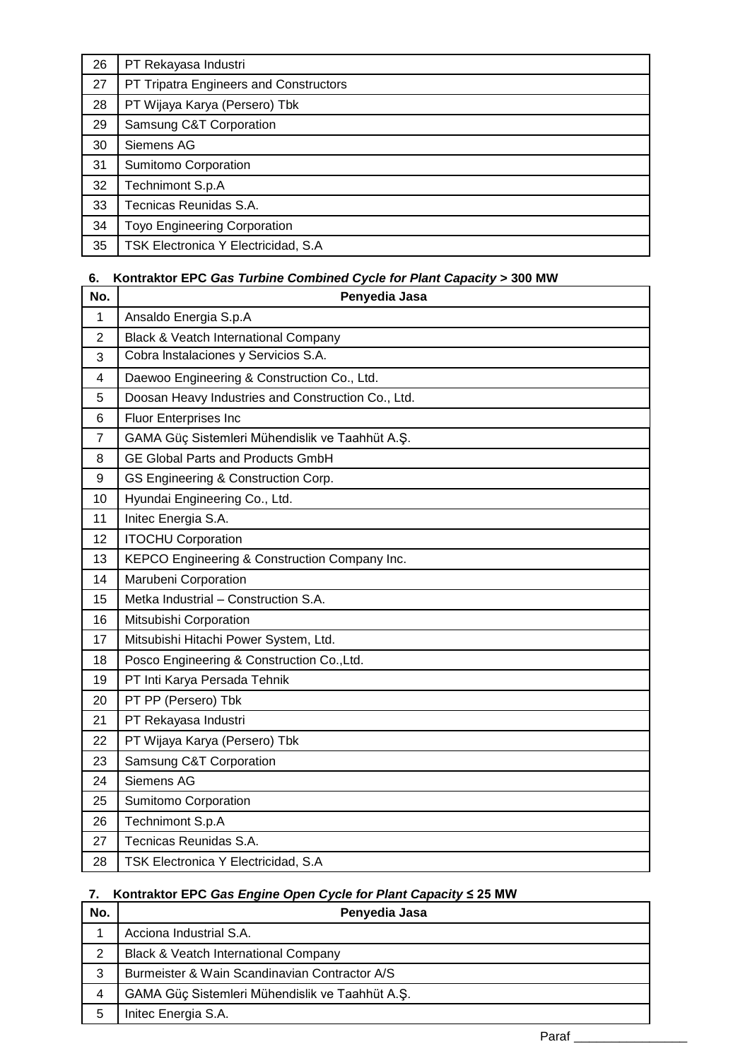| 26 | PT Rekayasa Industri                   |
|----|----------------------------------------|
| 27 | PT Tripatra Engineers and Constructors |
| 28 | PT Wijaya Karya (Persero) Tbk          |
| 29 | Samsung C&T Corporation                |
| 30 | Siemens AG                             |
| 31 | Sumitomo Corporation                   |
| 32 | Technimont S.p.A                       |
| 33 | Tecnicas Reunidas S.A.                 |
| 34 | <b>Toyo Engineering Corporation</b>    |
| 35 | TSK Electronica Y Electricidad, S.A    |

# **6. Kontraktor EPC** *Gas Turbine Combined Cycle for Plant Capacity* **> 300 MW**

| No.            | Penyedia Jasa                                      |
|----------------|----------------------------------------------------|
| 1              | Ansaldo Energia S.p.A                              |
| 2              | Black & Veatch International Company               |
| 3              | Cobra Instalaciones y Servicios S.A.               |
| 4              | Daewoo Engineering & Construction Co., Ltd.        |
| 5              | Doosan Heavy Industries and Construction Co., Ltd. |
| 6              | Fluor Enterprises Inc                              |
| $\overline{7}$ | GAMA Güç Sistemleri Mühendislik ve Taahhüt A.Ş.    |
| 8              | <b>GE Global Parts and Products GmbH</b>           |
| 9              | GS Engineering & Construction Corp.                |
| 10             | Hyundai Engineering Co., Ltd.                      |
| 11             | Initec Energia S.A.                                |
| 12             | <b>ITOCHU Corporation</b>                          |
| 13             | KEPCO Engineering & Construction Company Inc.      |
| 14             | Marubeni Corporation                               |
| 15             | Metka Industrial - Construction S.A.               |
| 16             | Mitsubishi Corporation                             |
| 17             | Mitsubishi Hitachi Power System, Ltd.              |
| 18             | Posco Engineering & Construction Co., Ltd.         |
| 19             | PT Inti Karya Persada Tehnik                       |
| 20             | PT PP (Persero) Tbk                                |
| 21             | PT Rekayasa Industri                               |
| 22             | PT Wijaya Karya (Persero) Tbk                      |
| 23             | Samsung C&T Corporation                            |
| 24             | Siemens AG                                         |
| 25             | Sumitomo Corporation                               |
| 26             | Technimont S.p.A                                   |
| 27             | Tecnicas Reunidas S.A.                             |
| 28             | TSK Electronica Y Electricidad, S.A                |

# **7. Kontraktor EPC** *Gas Engine Open Cycle for Plant Capacity* **≤ 25 MW**

| No. | Penyedia Jasa                                   |
|-----|-------------------------------------------------|
|     | Acciona Industrial S.A.                         |
| 2   | <b>Black &amp; Veatch International Company</b> |
| 3   | Burmeister & Wain Scandinavian Contractor A/S   |
| 4   | GAMA Güç Sistemleri Mühendislik ve Taahhüt A.Ş. |
| 5   | Initec Energia S.A.                             |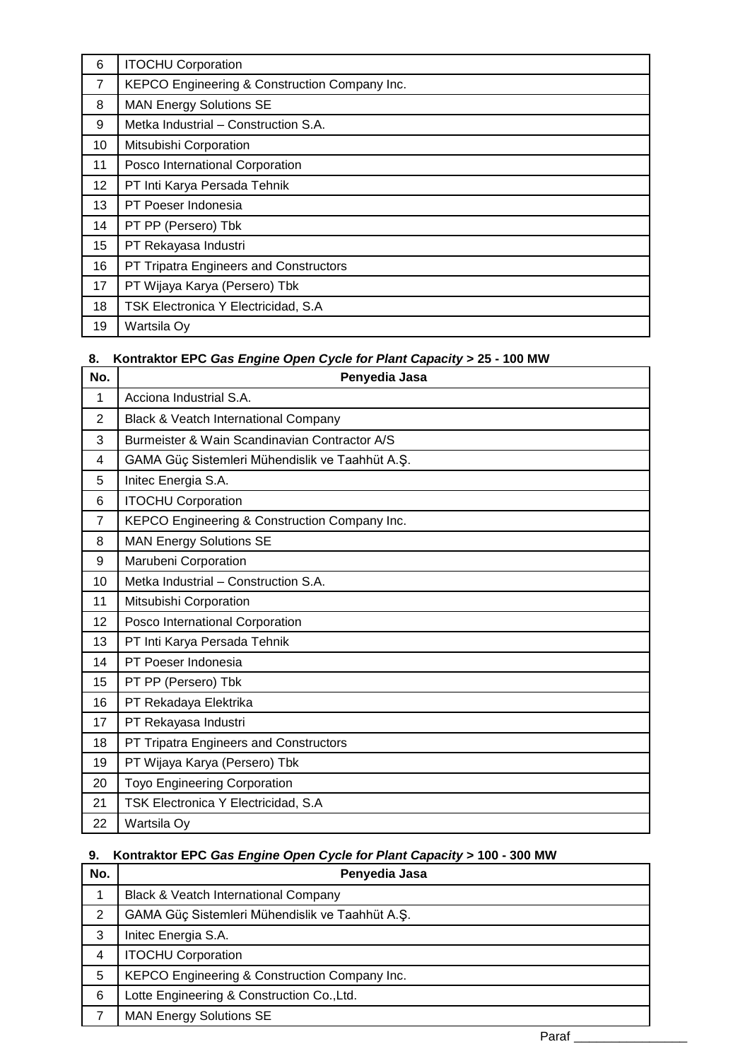| 6              | <b>ITOCHU Corporation</b>                     |
|----------------|-----------------------------------------------|
| $\overline{7}$ | KEPCO Engineering & Construction Company Inc. |
| 8              | <b>MAN Energy Solutions SE</b>                |
| 9              | Metka Industrial - Construction S.A.          |
| 10             | Mitsubishi Corporation                        |
| 11             | Posco International Corporation               |
| 12             | PT Inti Karya Persada Tehnik                  |
| 13             | PT Poeser Indonesia                           |
| 14             | PT PP (Persero) Tbk                           |
| 15             | PT Rekayasa Industri                          |
| 16             | PT Tripatra Engineers and Constructors        |
| 17             | PT Wijaya Karya (Persero) Tbk                 |
| 18             | TSK Electronica Y Electricidad, S.A           |
| 19             | Wartsila Oy                                   |

# **8. Kontraktor EPC** *Gas Engine Open Cycle for Plant Capacity* **> 25 - 100 MW**

| No.            | Penyedia Jasa                                   |
|----------------|-------------------------------------------------|
| 1              | Acciona Industrial S.A.                         |
| 2              | Black & Veatch International Company            |
| 3              | Burmeister & Wain Scandinavian Contractor A/S   |
| 4              | GAMA Güç Sistemleri Mühendislik ve Taahhüt A.Ş. |
| 5              | Initec Energia S.A.                             |
| 6              | <b>ITOCHU Corporation</b>                       |
| $\overline{7}$ | KEPCO Engineering & Construction Company Inc.   |
| 8              | <b>MAN Energy Solutions SE</b>                  |
| 9              | Marubeni Corporation                            |
| 10             | Metka Industrial - Construction S.A.            |
| 11             | Mitsubishi Corporation                          |
| 12             | Posco International Corporation                 |
| 13             | PT Inti Karya Persada Tehnik                    |
| 14             | PT Poeser Indonesia                             |
| 15             | PT PP (Persero) Tbk                             |
| 16             | PT Rekadaya Elektrika                           |
| 17             | PT Rekayasa Industri                            |
| 18             | PT Tripatra Engineers and Constructors          |
| 19             | PT Wijaya Karya (Persero) Tbk                   |
| 20             | <b>Toyo Engineering Corporation</b>             |
| 21             | TSK Electronica Y Electricidad, S.A             |
| 22             | Wartsila Oy                                     |

# **9. Kontraktor EPC** *Gas Engine Open Cycle for Plant Capacity* **> 100 - 300 MW**

| No. | Penyedia Jasa                                   |
|-----|-------------------------------------------------|
|     | <b>Black &amp; Veatch International Company</b> |
| 2   | GAMA Güç Sistemleri Mühendislik ve Taahhüt A.Ş. |
| 3   | Initec Energia S.A.                             |
| 4   | <b>ITOCHU Corporation</b>                       |
| 5   | KEPCO Engineering & Construction Company Inc.   |
| 6   | Lotte Engineering & Construction Co., Ltd.      |
| 7   | <b>MAN Energy Solutions SE</b>                  |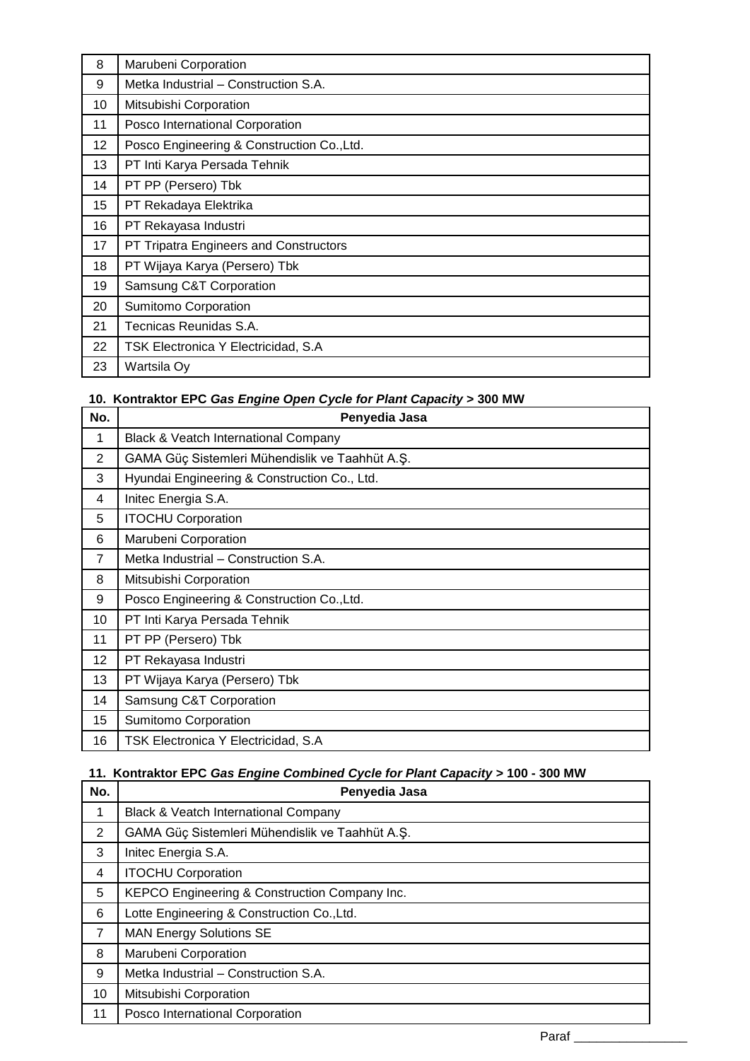| 8  | Marubeni Corporation                       |
|----|--------------------------------------------|
| 9  | Metka Industrial - Construction S.A.       |
| 10 | Mitsubishi Corporation                     |
| 11 | Posco International Corporation            |
| 12 | Posco Engineering & Construction Co., Ltd. |
| 13 | PT Inti Karya Persada Tehnik               |
| 14 | PT PP (Persero) Tbk                        |
| 15 | PT Rekadaya Elektrika                      |
| 16 | PT Rekayasa Industri                       |
| 17 | PT Tripatra Engineers and Constructors     |
| 18 | PT Wijaya Karya (Persero) Tbk              |
| 19 | Samsung C&T Corporation                    |
| 20 | Sumitomo Corporation                       |
| 21 | Tecnicas Reunidas S.A.                     |
| 22 | TSK Electronica Y Electricidad, S.A        |
| 23 | Wartsila Oy                                |

# **10. Kontraktor EPC** *Gas Engine Open Cycle for Plant Capacity* **> 300 MW**

| No.             | Penyedia Jasa                                   |
|-----------------|-------------------------------------------------|
| 1               | <b>Black &amp; Veatch International Company</b> |
| $\overline{2}$  | GAMA Güç Sistemleri Mühendislik ve Taahhüt A.Ş. |
| 3               | Hyundai Engineering & Construction Co., Ltd.    |
| 4               | Initec Energia S.A.                             |
| 5               | <b>ITOCHU Corporation</b>                       |
| 6               | Marubeni Corporation                            |
| $\overline{7}$  | Metka Industrial - Construction S.A.            |
| 8               | Mitsubishi Corporation                          |
| 9               | Posco Engineering & Construction Co., Ltd.      |
| 10              | PT Inti Karya Persada Tehnik                    |
| 11              | PT PP (Persero) Tbk                             |
| 12 <sub>2</sub> | PT Rekayasa Industri                            |
| 13              | PT Wijaya Karya (Persero) Tbk                   |
| 14              | Samsung C&T Corporation                         |
| 15              | Sumitomo Corporation                            |
| 16              | TSK Electronica Y Electricidad, S.A             |

# **11. Kontraktor EPC** *Gas Engine Combined Cycle for Plant Capacity* **> 100 - 300 MW**

| No.            | Penyedia Jasa                                   |
|----------------|-------------------------------------------------|
| 1              | <b>Black &amp; Veatch International Company</b> |
| 2              | GAMA Güç Sistemleri Mühendislik ve Taahhüt A.Ş. |
| 3              | Initec Energia S.A.                             |
| 4              | <b>ITOCHU Corporation</b>                       |
| 5              | KEPCO Engineering & Construction Company Inc.   |
| 6              | Lotte Engineering & Construction Co., Ltd.      |
| $\overline{7}$ | <b>MAN Energy Solutions SE</b>                  |
| 8              | Marubeni Corporation                            |
| 9              | Metka Industrial - Construction S.A.            |
| 10             | Mitsubishi Corporation                          |
| 11             | Posco International Corporation                 |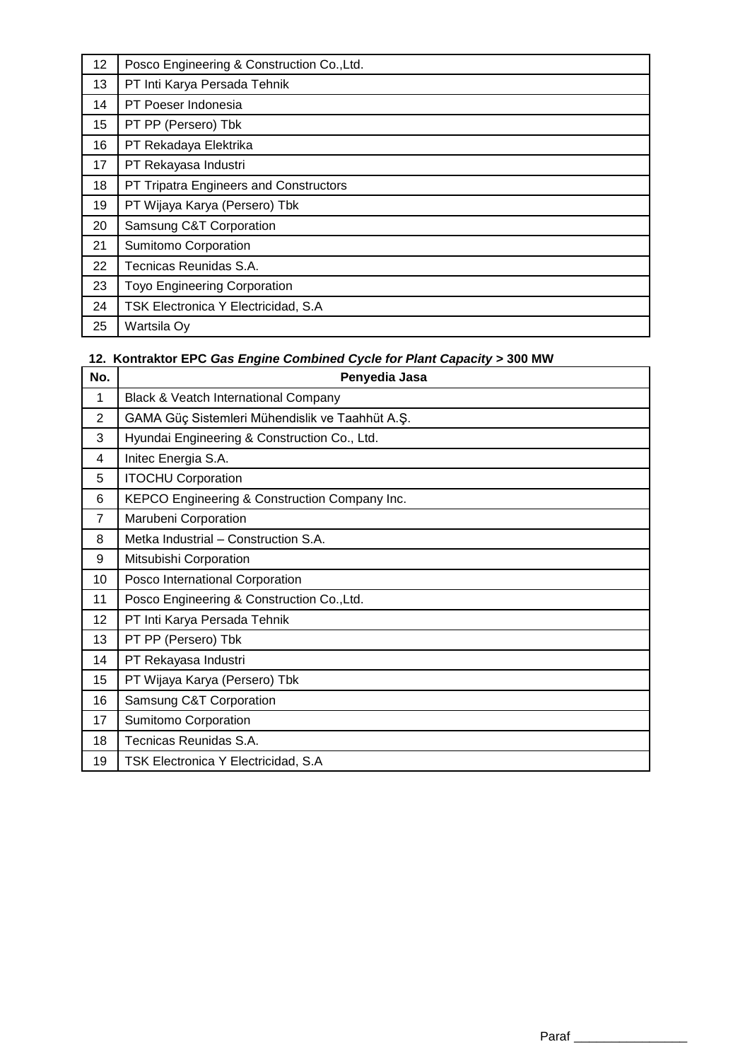| 12 | Posco Engineering & Construction Co., Ltd. |
|----|--------------------------------------------|
| 13 | PT Inti Karya Persada Tehnik               |
| 14 | PT Poeser Indonesia                        |
| 15 | PT PP (Persero) Tbk                        |
| 16 | PT Rekadaya Elektrika                      |
| 17 | PT Rekayasa Industri                       |
| 18 | PT Tripatra Engineers and Constructors     |
| 19 | PT Wijaya Karya (Persero) Tbk              |
| 20 | Samsung C&T Corporation                    |
| 21 | Sumitomo Corporation                       |
| 22 | Tecnicas Reunidas S.A.                     |
| 23 | <b>Toyo Engineering Corporation</b>        |
| 24 | TSK Electronica Y Electricidad, S.A        |
| 25 | Wartsila Oy                                |

# **12. Kontraktor EPC** *Gas Engine Combined Cycle for Plant Capacity* **> 300 MW**

| No.            | Penyedia Jasa                                   |  |
|----------------|-------------------------------------------------|--|
| 1              | Black & Veatch International Company            |  |
| $\overline{2}$ | GAMA Güç Sistemleri Mühendislik ve Taahhüt A.Ş. |  |
| 3              | Hyundai Engineering & Construction Co., Ltd.    |  |
| 4              | Initec Energia S.A.                             |  |
| 5              | <b>ITOCHU Corporation</b>                       |  |
| 6              | KEPCO Engineering & Construction Company Inc.   |  |
| $\overline{7}$ | Marubeni Corporation                            |  |
| 8              | Metka Industrial - Construction S.A.            |  |
| 9              | Mitsubishi Corporation                          |  |
| 10             | Posco International Corporation                 |  |
| 11             | Posco Engineering & Construction Co., Ltd.      |  |
| 12             | PT Inti Karya Persada Tehnik                    |  |
| 13             | PT PP (Persero) Tbk                             |  |
| 14             | PT Rekayasa Industri                            |  |
| 15             | PT Wijaya Karya (Persero) Tbk                   |  |
| 16             | Samsung C&T Corporation                         |  |
| 17             | Sumitomo Corporation                            |  |
| 18             | Tecnicas Reunidas S.A.                          |  |
| 19             | TSK Electronica Y Electricidad, S.A             |  |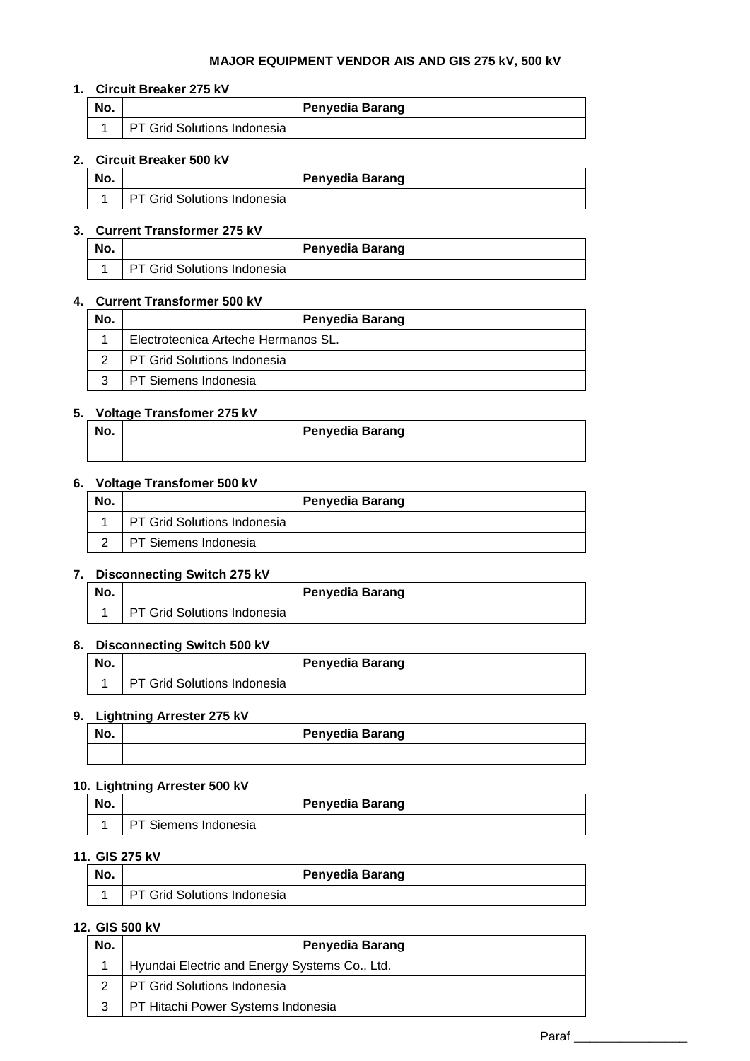#### **MAJOR EQUIPMENT VENDOR AIS AND GIS 275 kV, 500 kV**

### **1. Circuit Breaker 275 kV**

| No. | <b>Penyedia Barang</b>             |  |
|-----|------------------------------------|--|
|     | <b>PT Grid Solutions Indonesia</b> |  |

### **2. Circuit Breaker 500 kV**

| No. |                             | <b>Penyedia Barang</b> |
|-----|-----------------------------|------------------------|
|     | PT Grid Solutions Indonesia |                        |

### **3. Current Transformer 275 kV**

| No. | <b>Penyedia Barang</b>      |  |
|-----|-----------------------------|--|
|     | PT Grid Solutions Indonesia |  |

### **4. Current Transformer 500 kV**

| No. | <b>Penyedia Barang</b>              |  |
|-----|-------------------------------------|--|
|     | Electrotecnica Arteche Hermanos SL. |  |
| っ   | <b>PT Grid Solutions Indonesia</b>  |  |
| າ   | <b>PT Siemens Indonesia</b>         |  |

### **5. Voltage Transfomer 275 kV**

| No. | <b>Penyedia Barang</b> |
|-----|------------------------|
|     |                        |

#### **6. Voltage Transfomer 500 kV**

| No. | <b>Penyedia Barang</b>             |
|-----|------------------------------------|
|     | <b>PT Grid Solutions Indonesia</b> |
|     | PT Siemens Indonesia               |

## **7. Disconnecting Switch 275 kV**

| No. |                                    | <b>Penyedia Barang</b> |
|-----|------------------------------------|------------------------|
|     | <b>PT Grid Solutions Indonesia</b> |                        |

### **8. Disconnecting Switch 500 kV**

| No. | <b>Penyedia Barang</b>             |
|-----|------------------------------------|
|     | <b>PT Grid Solutions Indonesia</b> |

## **9. Lightning Arrester 275 kV**

| -   |                 |
|-----|-----------------|
| No. | Penyedia Barang |
|     |                 |

### **10. Lightning Arrester 500 kV**

| No. |                      | <b>Penyedia Barang</b> |
|-----|----------------------|------------------------|
|     | PT Siemens Indonesia |                        |

### **11. GIS 275 kV**

| No. | <b>Penyedia Barang</b>      |  |
|-----|-----------------------------|--|
|     | PT Grid Solutions Indonesia |  |

#### **12. GIS 500 kV**

| No. | Penyedia Barang                               |
|-----|-----------------------------------------------|
|     | Hyundai Electric and Energy Systems Co., Ltd. |
|     | PT Grid Solutions Indonesia                   |
|     | PT Hitachi Power Systems Indonesia            |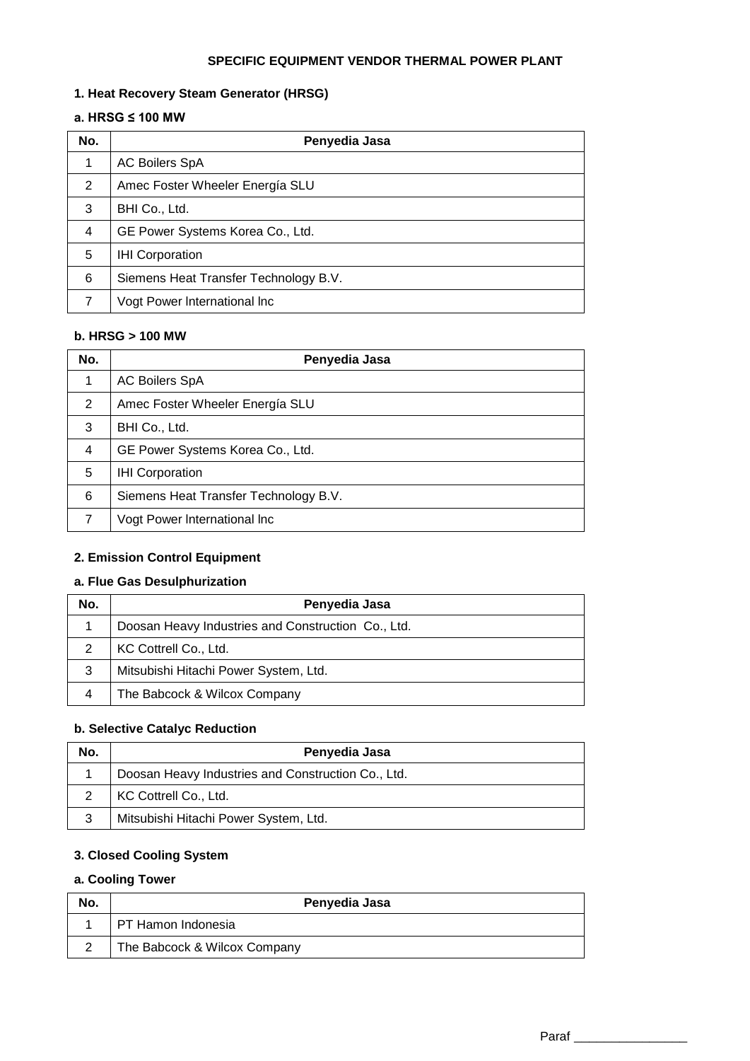#### **SPECIFIC EQUIPMENT VENDOR THERMAL POWER PLANT**

### **1. Heat Recovery Steam Generator (HRSG)**

## **a. HRSG ≤ 100 MW**

| No.            | Penyedia Jasa                         |  |  |
|----------------|---------------------------------------|--|--|
| 1              | <b>AC Boilers SpA</b>                 |  |  |
| 2              | Amec Foster Wheeler Energía SLU       |  |  |
| 3              | BHI Co., Ltd.                         |  |  |
| $\overline{4}$ | GE Power Systems Korea Co., Ltd.      |  |  |
| 5              | <b>IHI Corporation</b>                |  |  |
| 6              | Siemens Heat Transfer Technology B.V. |  |  |
| 7              | Vogt Power International Inc          |  |  |

### **b. HRSG > 100 MW**

| No.            | Penyedia Jasa                         |  |  |
|----------------|---------------------------------------|--|--|
| 1              | <b>AC Boilers SpA</b>                 |  |  |
| 2              | Amec Foster Wheeler Energía SLU       |  |  |
| 3              | BHI Co., Ltd.                         |  |  |
| $\overline{4}$ | GE Power Systems Korea Co., Ltd.      |  |  |
| 5              | <b>IHI Corporation</b>                |  |  |
| 6              | Siemens Heat Transfer Technology B.V. |  |  |
| 7              | Vogt Power International Inc          |  |  |

## **2. Emission Control Equipment**

#### **a. Flue Gas Desulphurization**

| No. | Penyedia Jasa                                      |  |  |  |
|-----|----------------------------------------------------|--|--|--|
|     | Doosan Heavy Industries and Construction Co., Ltd. |  |  |  |
| 2   | KC Cottrell Co., Ltd.                              |  |  |  |
| 3   | Mitsubishi Hitachi Power System, Ltd.              |  |  |  |
| 4   | The Babcock & Wilcox Company                       |  |  |  |

#### **b. Selective Catalyc Reduction**

| No. | Penyedia Jasa                                      |  |  |  |
|-----|----------------------------------------------------|--|--|--|
|     | Doosan Heavy Industries and Construction Co., Ltd. |  |  |  |
|     | KC Cottrell Co., Ltd.                              |  |  |  |
| 3   | Mitsubishi Hitachi Power System, Ltd.              |  |  |  |

# **3. Closed Cooling System**

# **a. Cooling Tower**

| No. | Penyedia Jasa                |  |  |
|-----|------------------------------|--|--|
|     | PT Hamon Indonesia           |  |  |
|     | The Babcock & Wilcox Company |  |  |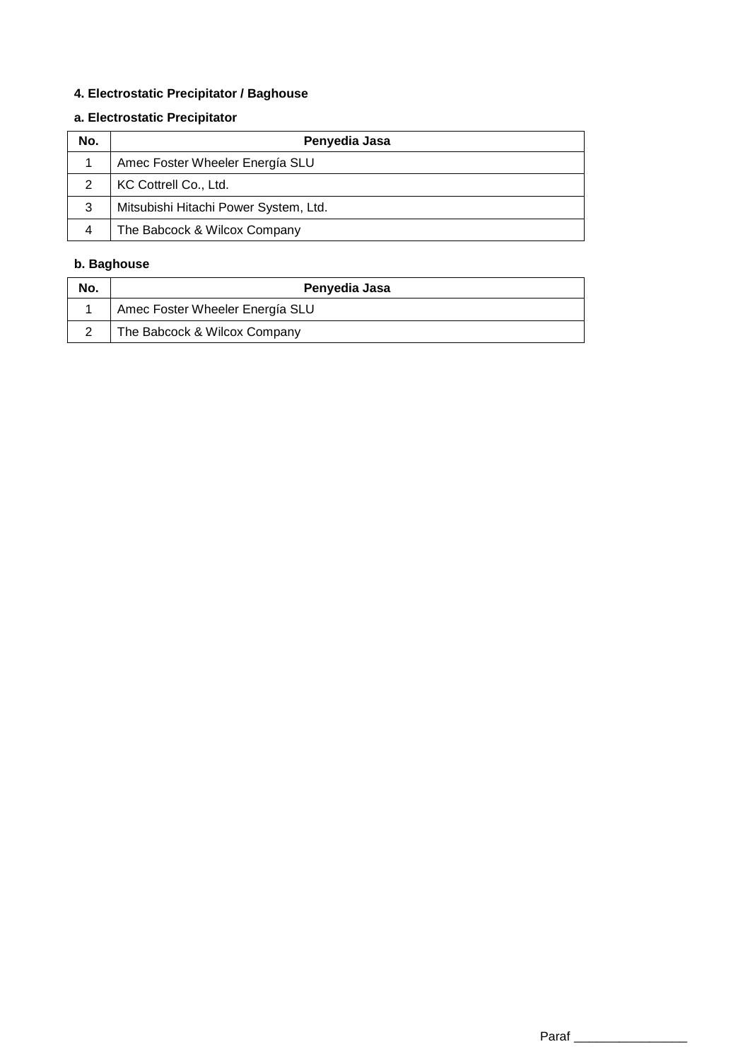# **4. Electrostatic Precipitator / Baghouse**

# **a. Electrostatic Precipitator**

| No. | Penyedia Jasa                         |  |  |
|-----|---------------------------------------|--|--|
|     | Amec Foster Wheeler Energía SLU       |  |  |
| っ   | KC Cottrell Co., Ltd.                 |  |  |
| 3   | Mitsubishi Hitachi Power System, Ltd. |  |  |
|     | The Babcock & Wilcox Company          |  |  |

# **b. Baghouse**

| No. | Penyedia Jasa                   |  |  |
|-----|---------------------------------|--|--|
|     | Amec Foster Wheeler Energía SLU |  |  |
|     | The Babcock & Wilcox Company    |  |  |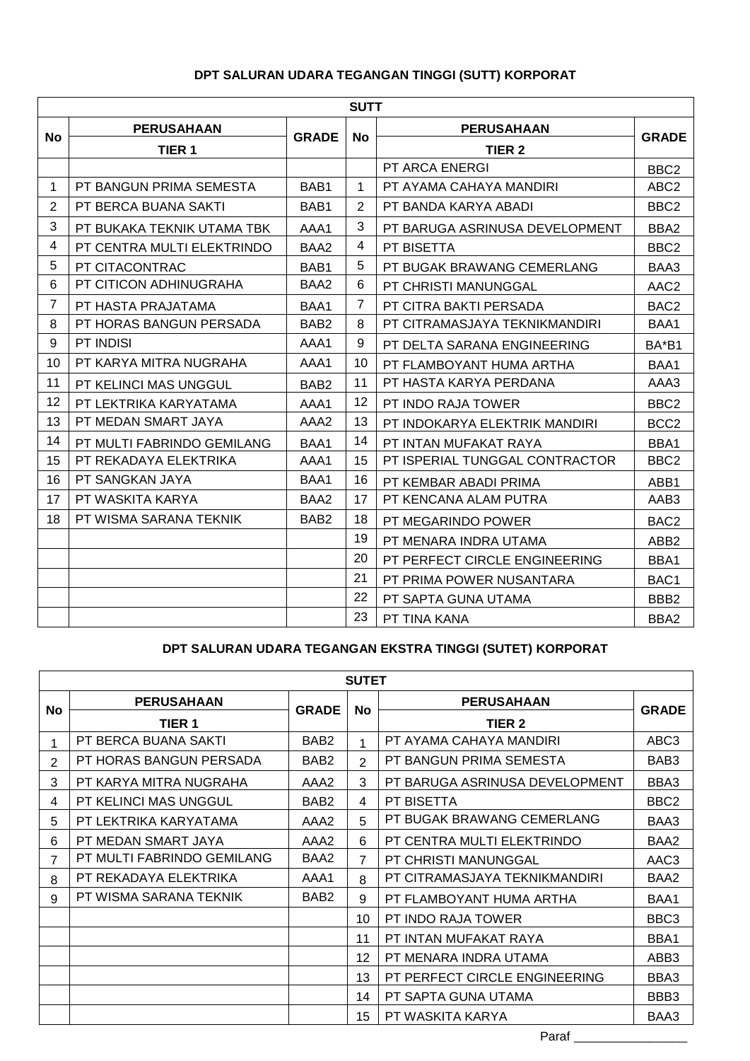# **DPT SALURAN UDARA TEGANGAN TINGGI (SUTT) KORPORAT**

|                | <b>SUTT</b>                |                  |                |                                |                  |  |  |  |
|----------------|----------------------------|------------------|----------------|--------------------------------|------------------|--|--|--|
| <b>No</b>      | <b>PERUSAHAAN</b>          | <b>GRADE</b>     | <b>No</b>      | <b>PERUSAHAAN</b>              | <b>GRADE</b>     |  |  |  |
|                | TIER <sub>1</sub>          |                  |                | TIER <sub>2</sub>              |                  |  |  |  |
|                |                            |                  |                | PT ARCA ENERGI                 | BBC <sub>2</sub> |  |  |  |
| $\mathbf{1}$   | PT BANGUN PRIMA SEMESTA    | BAB1             | $\mathbf 1$    | PT AYAMA CAHAYA MANDIRI        | ABC <sub>2</sub> |  |  |  |
| 2              | PT BERCA BUANA SAKTI       | BAB1             | 2              | PT BANDA KARYA ABADI           | BBC <sub>2</sub> |  |  |  |
| 3              | PT BUKAKA TEKNIK UTAMA TBK | AAA1             | 3              | PT BARUGA ASRINUSA DEVELOPMENT | BBA2             |  |  |  |
| $\overline{4}$ | PT CENTRA MULTI ELEKTRINDO | BAA <sub>2</sub> | 4              | PT BISETTA                     | BBC <sub>2</sub> |  |  |  |
| 5              | PT CITACONTRAC             | BAB1             | 5              | PT BUGAK BRAWANG CEMERLANG     | BAA3             |  |  |  |
| 6              | PT CITICON ADHINUGRAHA     | BAA <sub>2</sub> | 6              | PT CHRISTI MANUNGGAL           | AAC <sub>2</sub> |  |  |  |
| $\overline{7}$ | PT HASTA PRAJATAMA         | BAA1             | $\overline{7}$ | PT CITRA BAKTI PERSADA         | BAC <sub>2</sub> |  |  |  |
| 8              | PT HORAS BANGUN PERSADA    | BAB <sub>2</sub> | 8              | PT CITRAMASJAYA TEKNIKMANDIRI  | BAA1             |  |  |  |
| 9              | PT INDISI                  | AAA1             | 9              | PT DELTA SARANA ENGINEERING    | BA*B1            |  |  |  |
| 10             | PT KARYA MITRA NUGRAHA     | AAA1             | 10             | PT FLAMBOYANT HUMA ARTHA       | BAA1             |  |  |  |
| 11             | PT KELINCI MAS UNGGUL      | BAB <sub>2</sub> | 11             | PT HASTA KARYA PERDANA         | AAA3             |  |  |  |
| 12             | PT LEKTRIKA KARYATAMA      | AAA1             | 12             | PT INDO RAJA TOWER             | BBC <sub>2</sub> |  |  |  |
| 13             | PT MEDAN SMART JAYA        | AAA2             | 13             | PT INDOKARYA ELEKTRIK MANDIRI  | BCC <sub>2</sub> |  |  |  |
| 14             | PT MULTI FABRINDO GEMILANG | BAA1             | 14             | PT INTAN MUFAKAT RAYA          | BBA1             |  |  |  |
| 15             | PT REKADAYA ELEKTRIKA      | AAA1             | 15             | PT ISPERIAL TUNGGAL CONTRACTOR | BBC <sub>2</sub> |  |  |  |
| 16             | PT SANGKAN JAYA            | BAA1             | 16             | PT KEMBAR ABADI PRIMA          | ABB1             |  |  |  |
| 17             | PT WASKITA KARYA           | BAA2             | 17             | PT KENCANA ALAM PUTRA          | AAB3             |  |  |  |
| 18             | PT WISMA SARANA TEKNIK     | BAB <sub>2</sub> | 18             | PT MEGARINDO POWER             | BAC <sub>2</sub> |  |  |  |
|                |                            |                  | 19             | PT MENARA INDRA UTAMA          | ABB <sub>2</sub> |  |  |  |
|                |                            |                  | 20             | PT PERFECT CIRCLE ENGINEERING  | BBA1             |  |  |  |
|                |                            |                  | 21             | PT PRIMA POWER NUSANTARA       | BAC1             |  |  |  |
|                |                            |                  | 22             | PT SAPTA GUNA UTAMA            | BBB <sub>2</sub> |  |  |  |
|                |                            |                  | 23             | PT TINA KANA                   | BBA2             |  |  |  |

# **DPT SALURAN UDARA TEGANGAN EKSTRA TINGGI (SUTET) KORPORAT**

| <b>SUTET</b>   |                            |                  |                |                                |                  |  |
|----------------|----------------------------|------------------|----------------|--------------------------------|------------------|--|
| <b>No</b>      | <b>PERUSAHAAN</b>          | <b>GRADE</b>     |                | <b>PERUSAHAAN</b>              | <b>GRADE</b>     |  |
|                | TIER 1                     |                  | <b>No</b>      | TIER <sub>2</sub>              |                  |  |
|                | PT BERCA BUANA SAKTI       | BAB <sub>2</sub> | 1              | PT AYAMA CAHAYA MANDIRI        | ABC3             |  |
| $\overline{2}$ | PT HORAS BANGUN PERSADA    | BAB <sub>2</sub> | $\mathcal{P}$  | PT BANGUN PRIMA SEMESTA        | BAB <sub>3</sub> |  |
| 3              | PT KARYA MITRA NUGRAHA     | AAA2             | 3              | PT BARUGA ASRINUSA DEVELOPMENT | BBA3             |  |
| 4              | PT KELINCI MAS UNGGUL      | BAB <sub>2</sub> | 4              | PT BISETTA                     | BBC <sub>2</sub> |  |
| 5              | PT LEKTRIKA KARYATAMA      | AAA2             | 5              | PT BUGAK BRAWANG CEMERLANG     | BAA3             |  |
| 6              | PT MEDAN SMART JAYA        | AAA2             | 6              | PT CENTRA MULTI ELEKTRINDO     | BAA2             |  |
| 7              | PT MULTI FABRINDO GEMILANG | BAA2             | $\overline{7}$ | PT CHRISTI MANUNGGAL           | AAC3             |  |
| 8              | PT REKADAYA ELEKTRIKA      | AAA1             | 8              | PT CITRAMASJAYA TEKNIKMANDIRI  | BAA2             |  |
| 9              | PT WISMA SARANA TEKNIK     | BAB <sub>2</sub> | 9              | PT FLAMBOYANT HUMA ARTHA       | BAA1             |  |
|                |                            |                  | 10             | PT INDO RAJA TOWER             | BBC3             |  |
|                |                            |                  | 11             | PT INTAN MUFAKAT RAYA          | BBA1             |  |
|                |                            |                  | 12             | PT MENARA INDRA UTAMA          | ABB <sub>3</sub> |  |
|                |                            |                  | 13             | PT PERFECT CIRCLE ENGINEERING  | BBA3             |  |
|                |                            |                  | 14             | PT SAPTA GUNA UTAMA            | BBB3             |  |
|                |                            |                  | 15             | PT WASKITA KARYA               | BAA3             |  |

Paraf \_\_\_\_\_\_\_\_\_\_\_\_\_\_\_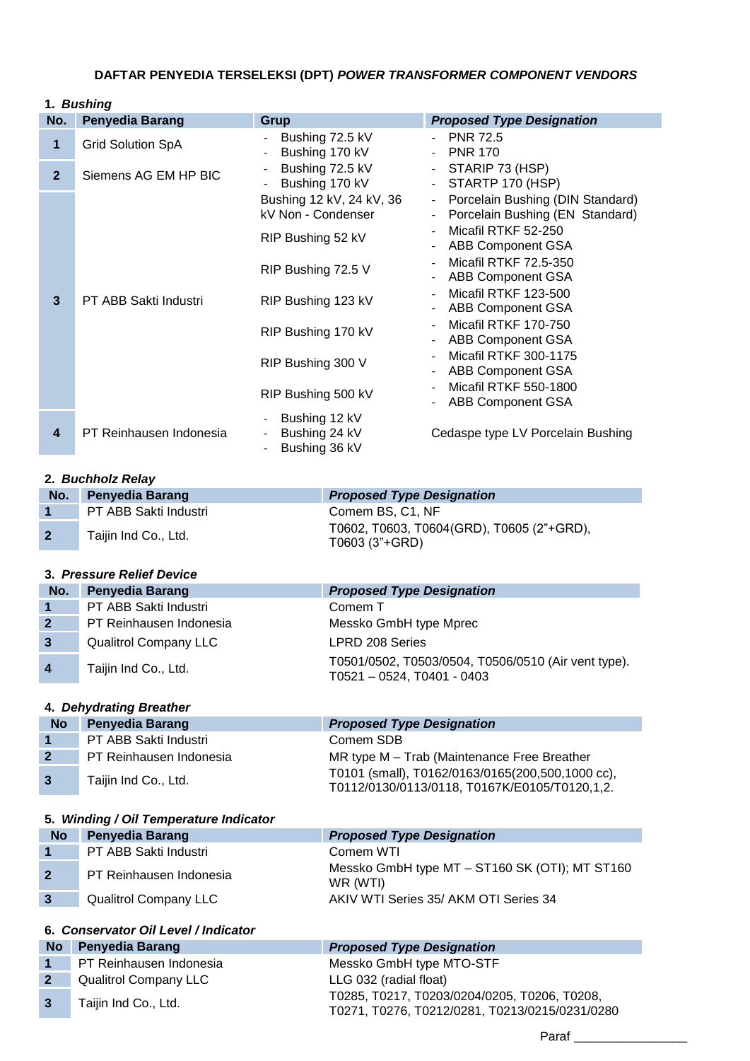# **DAFTAR PENYEDIA TERSELEKSI (DPT)** *POWER TRANSFORMER COMPONENT VENDORS*

|                         | 1. Bushing               |                                                                     |                                                                                                                                       |  |  |
|-------------------------|--------------------------|---------------------------------------------------------------------|---------------------------------------------------------------------------------------------------------------------------------------|--|--|
| No.                     | <b>Penyedia Barang</b>   | Grup                                                                | <b>Proposed Type Designation</b>                                                                                                      |  |  |
| 1                       | <b>Grid Solution SpA</b> | Bushing 72.5 kV<br>Bushing 170 kV                                   | <b>PNR 72.5</b><br><b>PNR 170</b><br>$\overline{\phantom{0}}$                                                                         |  |  |
| 2 <sup>2</sup>          | Siemens AG EM HP BIC     | Bushing 72.5 kV<br>Bushing 170 kV                                   | - STARIP 73 (HSP)<br>- STARTP 170 (HSP)                                                                                               |  |  |
|                         |                          | Bushing 12 kV, 24 kV, 36<br>kV Non - Condenser<br>RIP Bushing 52 kV | Porcelain Bushing (DIN Standard)<br>$\blacksquare$<br>- Porcelain Bushing (EN Standard)<br>Micafil RTKF 52-250                        |  |  |
|                         |                          | RIP Bushing 72.5 V                                                  | <b>ABB Component GSA</b><br>Micafil RTKF 72.5-350<br>$\overline{\phantom{0}}$<br><b>ABB Component GSA</b><br>$\overline{\phantom{0}}$ |  |  |
| 3                       | PT ABB Sakti Industri    | RIP Bushing 123 kV                                                  | Micafil RTKF 123-500<br><b>ABB Component GSA</b>                                                                                      |  |  |
|                         |                          | RIP Bushing 170 kV                                                  | Micafil RTKF 170-750<br><b>ABB Component GSA</b><br>$\overline{\phantom{0}}$                                                          |  |  |
|                         |                          | RIP Bushing 300 V                                                   | Micafil RTKF 300-1175<br><b>ABB Component GSA</b>                                                                                     |  |  |
|                         |                          | RIP Bushing 500 kV                                                  | Micafil RTKF 550-1800<br><b>ABB Component GSA</b>                                                                                     |  |  |
| $\overline{\mathbf{4}}$ | PT Reinhausen Indonesia  | Bushing 12 kV<br>Bushing 24 kV<br>Bushing 36 kV                     | Cedaspe type LV Porcelain Bushing                                                                                                     |  |  |

### **2.** *Buchholz Relay*

| No.            | <b>Penyedia Barang</b> | <b>Proposed Type Designation</b>                            |
|----------------|------------------------|-------------------------------------------------------------|
|                | PT ABB Sakti Industri  | Comem BS, C1, NF                                            |
| $\overline{2}$ | Taijin Ind Co., Ltd.   | T0602, T0603, T0604(GRD), T0605 (2"+GRD),<br>T0603 (3"+GRD) |

# **3.** *Pressure Relief Device*

| No.                  | <b>Penyedia Barang</b>       | <b>Proposed Type Designation</b>                                                       |
|----------------------|------------------------------|----------------------------------------------------------------------------------------|
| $\blacktriangleleft$ | PT ABB Sakti Industri        | Comem T                                                                                |
| $\mathbf{2}$         | PT Reinhausen Indonesia      | Messko GmbH type Mprec                                                                 |
| $\mathbf{3}$         | <b>Qualitrol Company LLC</b> | <b>LPRD 208 Series</b>                                                                 |
| $\overline{4}$       | Taijin Ind Co., Ltd.         | T0501/0502, T0503/0504, T0506/0510 (Air vent type).<br>$T0521 - 0524$ , $T0401 - 0403$ |

### **4.** *Dehydrating Breather*

| <b>No</b>      | <b>Penyedia Barang</b>  | <b>Proposed Type Designation</b>                                                                  |
|----------------|-------------------------|---------------------------------------------------------------------------------------------------|
| $\vert$ 1      | PT ABB Sakti Industri   | Comem SDB                                                                                         |
| $\overline{2}$ | PT Reinhausen Indonesia | MR type M – Trab (Maintenance Free Breather                                                       |
| $\overline{3}$ | Taijin Ind Co., Ltd.    | T0101 (small), T0162/0163/0165(200,500,1000 cc),<br>T0112/0130/0113/0118, T0167K/E0105/T0120,1,2. |

### **5.** *Winding / Oil Temperature Indicator*

| No             | <b>Penyedia Barang</b>       | <b>Proposed Type Designation</b>                           |
|----------------|------------------------------|------------------------------------------------------------|
|                | PT ABB Sakti Industri        | Comem WTI                                                  |
| $\overline{2}$ | PT Reinhausen Indonesia      | Messko GmbH type MT - ST160 SK (OTI); MT ST160<br>WR (WTI) |
| $\mathbf{3}$   | <b>Qualitrol Company LLC</b> | AKIV WTI Series 35/ AKM OTI Series 34                      |
|                |                              |                                                            |

# **6.** *Conservator Oil Level / Indicator*

| <b>No</b> | <b>Penyedia Barang</b>       | <b>Proposed Type Designation</b>                                                               |
|-----------|------------------------------|------------------------------------------------------------------------------------------------|
|           | PT Reinhausen Indonesia      | Messko GmbH type MTO-STF                                                                       |
|           | <b>Qualitrol Company LLC</b> | LLG 032 (radial float)                                                                         |
|           | Taijin Ind Co., Ltd.         | T0285, T0217, T0203/0204/0205, T0206, T0208,<br>T0271, T0276, T0212/0281, T0213/0215/0231/0280 |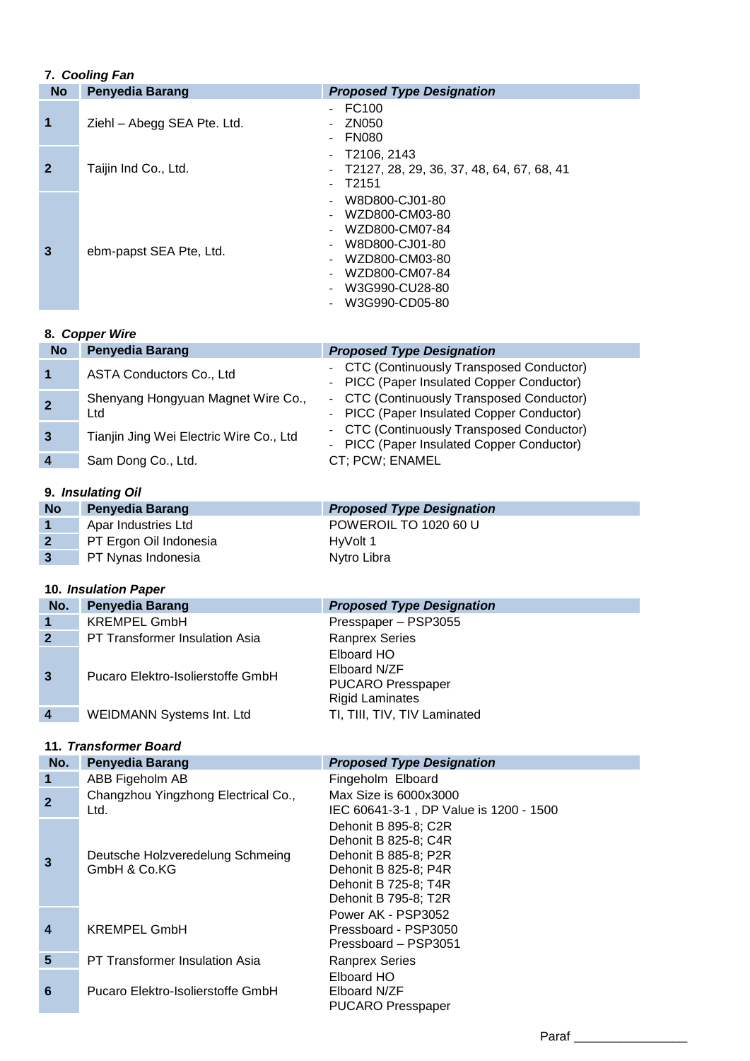### **7.** *Cooling Fan*

| 7. Cooling Fan |                             |                                                                                                                                              |
|----------------|-----------------------------|----------------------------------------------------------------------------------------------------------------------------------------------|
| <b>No</b>      | <b>Penyedia Barang</b>      | <b>Proposed Type Designation</b>                                                                                                             |
| 1              | Ziehl - Abegg SEA Pte. Ltd. | FC <sub>100</sub><br>ZN050<br><b>FN080</b>                                                                                                   |
| $\mathbf{2}$   | Taijin Ind Co., Ltd.        | T2106, 2143<br>- T2127, 28, 29, 36, 37, 48, 64, 67, 68, 41<br>T2151                                                                          |
| 3              | ebm-papst SEA Pte, Ltd.     | W8D800-CJ01-80<br>WZD800-CM03-80<br>WZD800-CM07-84<br>W8D800-CJ01-80<br>WZD800-CM03-80<br>WZD800-CM07-84<br>W3G990-CU28-80<br>W3G990-CD05-80 |

### **8.** *Copper Wire*

| No           | <b>Penyedia Barang</b>                    | <b>Proposed Type Designation</b>                                                       |
|--------------|-------------------------------------------|----------------------------------------------------------------------------------------|
| 1            | ASTA Conductors Co., Ltd                  | - CTC (Continuously Transposed Conductor)<br>- PICC (Paper Insulated Copper Conductor) |
| $\mathbf{2}$ | Shenyang Hongyuan Magnet Wire Co.,<br>Ltd | - CTC (Continuously Transposed Conductor)<br>- PICC (Paper Insulated Copper Conductor) |
| $\mathbf{3}$ | Tianjin Jing Wei Electric Wire Co., Ltd   | - CTC (Continuously Transposed Conductor)<br>- PICC (Paper Insulated Copper Conductor) |
| 4            | Sam Dong Co., Ltd.                        | CT; PCW; ENAMEL                                                                        |

### **9.** *Insulating Oil*

| <b>No</b>      | <b>Penyedia Barang</b> | <b>Proposed Type Designation</b> |
|----------------|------------------------|----------------------------------|
| $\blacksquare$ | Apar Industries Ltd    | <b>POWEROIL TO 1020 60 U</b>     |
| $\overline{2}$ | PT Ergon Oil Indonesia | HyVolt 1                         |
| 3              | PT Nynas Indonesia     | Nytro Libra                      |

## **10.** *Insulation Paper*

| No.            | <b>Penyedia Barang</b>                | <b>Proposed Type Designation</b>                                                 |
|----------------|---------------------------------------|----------------------------------------------------------------------------------|
|                | <b>KREMPEL GmbH</b>                   | Presspaper - PSP3055                                                             |
| $\overline{2}$ | <b>PT Transformer Insulation Asia</b> | <b>Ranprex Series</b>                                                            |
| 3              | Pucaro Elektro-Isolierstoffe GmbH     | Elboard HO<br>Elboard N/ZF<br><b>PUCARO Presspaper</b><br><b>Rigid Laminates</b> |
|                | <b>WEIDMANN Systems Int. Ltd</b>      | TI, TIII, TIV, TIV Laminated                                                     |

## **11.** *Transformer Board*

| No.            | <b>Penyedia Barang</b>                           | <b>Proposed Type Designation</b>                                                                                                             |
|----------------|--------------------------------------------------|----------------------------------------------------------------------------------------------------------------------------------------------|
| $\mathbf 1$    | ABB Figeholm AB                                  | Fingeholm Elboard                                                                                                                            |
| $\overline{2}$ | Changzhou Yingzhong Electrical Co.,<br>Ltd.      | Max Size is 6000x3000<br>IEC 60641-3-1, DP Value is 1200 - 1500                                                                              |
| $\overline{3}$ | Deutsche Holzveredelung Schmeing<br>GmbH & Co.KG | Dehonit B 895-8; C2R<br>Dehonit B 825-8; C4R<br>Dehonit B 885-8; P2R<br>Dehonit B 825-8; P4R<br>Dehonit B 725-8; T4R<br>Dehonit B 795-8; T2R |
| 4              | <b>KREMPEL GmbH</b>                              | Power AK - PSP3052<br>Pressboard - PSP3050<br>Pressboard - PSP3051                                                                           |
| 5              | <b>PT Transformer Insulation Asia</b>            | <b>Ranprex Series</b>                                                                                                                        |
| 6              | Pucaro Elektro-Isolierstoffe GmbH                | Elboard HO<br>Elboard N/ZF<br><b>PUCARO Presspaper</b>                                                                                       |